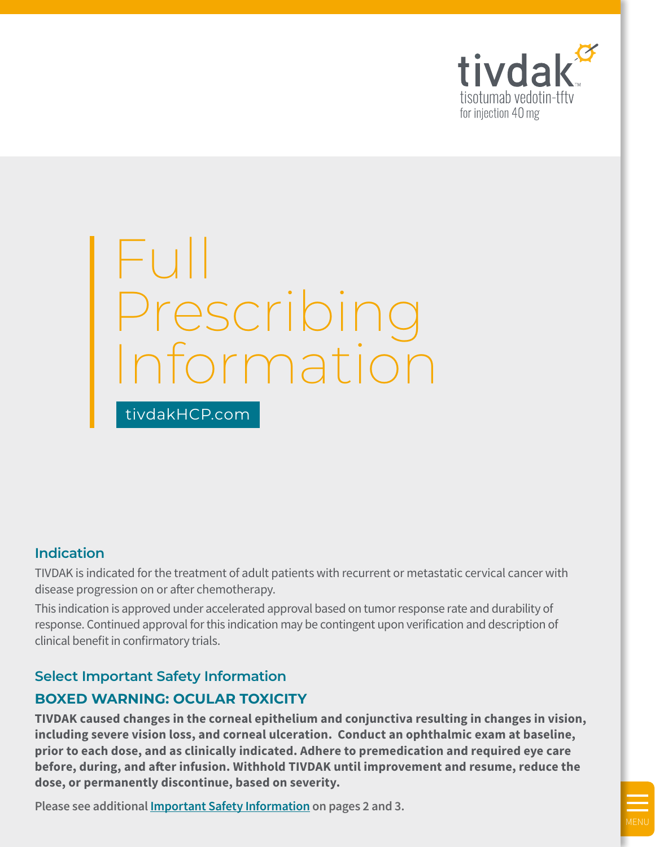

# Full Prescribing Information

**Indication**

TIVDAK is indicated for the treatment of adult patients with recurrent or metastatic cervical cancer with disease progression on or after chemotherapy.

This indication is approved under accelerated approval based on tumor response rate and durability of response. Continued approval for this indication may be contingent upon verification and description of clinical benefit in confirmatory trials.

# **Select Important Safety Information BOXED WARNING: OCULAR TOXICITY**

[tivdakHCP.com](http://tivdakhcp.com)

**TIVDAK caused changes in the corneal epithelium and conjunctiva resulting in changes in vision, including severe vision loss, and corneal ulceration. Conduct an ophthalmic exam at baseline, prior to each dose, and as clinically indicated. Adhere to premedication and required eye care before, during, and after infusion. Withhold TIVDAK until improvement and resume, reduce the dose, or permanently discontinue, based on severity.**

**Please see additional [Important Safety Information](#page-2-0) on pages 2 and 3.**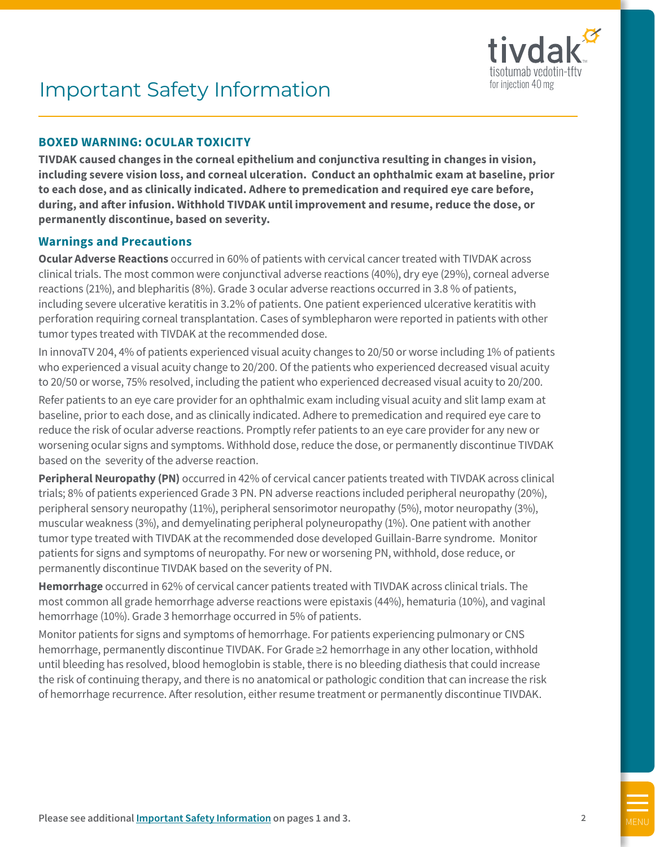

# <span id="page-1-0"></span>Important Safety Information

## **BOXED WARNING: OCULAR TOXICITY**

**TIVDAK caused changes in the corneal epithelium and conjunctiva resulting in changes in vision, including severe vision loss, and corneal ulceration. Conduct an ophthalmic exam at baseline, prior to each dose, and as clinically indicated. Adhere to premedication and required eye care before, during, and after infusion. Withhold TIVDAK until improvement and resume, reduce the dose, or permanently discontinue, based on severity.** 

#### **Warnings and Precautions**

**Ocular Adverse Reactions** occurred in 60% of patients with cervical cancer treated with TIVDAK across clinical trials. The most common were conjunctival adverse reactions (40%), dry eye (29%), corneal adverse reactions (21%), and blepharitis (8%). Grade 3 ocular adverse reactions occurred in 3.8 % of patients, including severe ulcerative keratitis in 3.2% of patients. One patient experienced ulcerative keratitis with perforation requiring corneal transplantation. Cases of symblepharon were reported in patients with other tumor types treated with TIVDAK at the recommended dose.

In innovaTV 204, 4% of patients experienced visual acuity changes to 20/50 or worse including 1% of patients who experienced a visual acuity change to 20/200. Of the patients who experienced decreased visual acuity to 20/50 or worse, 75% resolved, including the patient who experienced decreased visual acuity to 20/200.

Refer patients to an eye care provider for an ophthalmic exam including visual acuity and slit lamp exam at baseline, prior to each dose, and as clinically indicated. Adhere to premedication and required eye care to reduce the risk of ocular adverse reactions. Promptly refer patients to an eye care provider for any new or worsening ocular signs and symptoms. Withhold dose, reduce the dose, or permanently discontinue TIVDAK based on the severity of the adverse reaction.

**Peripheral Neuropathy (PN)** occurred in 42% of cervical cancer patients treated with TIVDAK across clinical trials; 8% of patients experienced Grade 3 PN. PN adverse reactions included peripheral neuropathy (20%), peripheral sensory neuropathy (11%), peripheral sensorimotor neuropathy (5%), motor neuropathy (3%), muscular weakness (3%), and demyelinating peripheral polyneuropathy (1%). One patient with another tumor type treated with TIVDAK at the recommended dose developed Guillain-Barre syndrome. Monitor patients for signs and symptoms of neuropathy. For new or worsening PN, withhold, dose reduce, or permanently discontinue TIVDAK based on the severity of PN.

**Hemorrhage** occurred in 62% of cervical cancer patients treated with TIVDAK across clinical trials. The most common all grade hemorrhage adverse reactions were epistaxis (44%), hematuria (10%), and vaginal hemorrhage (10%). Grade 3 hemorrhage occurred in 5% of patients.

Monitor patients for signs and symptoms of hemorrhage. For patients experiencing pulmonary or CNS hemorrhage, permanently discontinue TIVDAK. For Grade ≥2 hemorrhage in any other location, withhold until bleeding has resolved, blood hemoglobin is stable, there is no bleeding diathesis that could increase the risk of continuing therapy, and there is no anatomical or pathologic condition that can increase the risk of hemorrhage recurrence. After resolution, either resume treatment or permanently discontinue TIVDAK.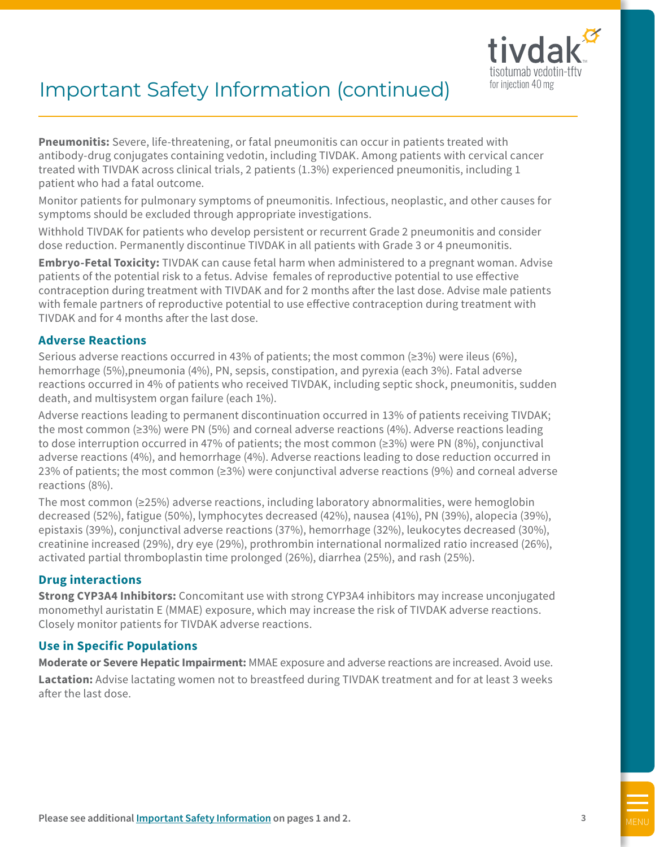

# <span id="page-2-0"></span>Important Safety Information (continued)

**Pneumonitis:** Severe, life-threatening, or fatal pneumonitis can occur in patients treated with antibody-drug conjugates containing vedotin, including TIVDAK. Among patients with cervical cancer treated with TIVDAK across clinical trials, 2 patients (1.3%) experienced pneumonitis, including 1 patient who had a fatal outcome.

Monitor patients for pulmonary symptoms of pneumonitis. Infectious, neoplastic, and other causes for symptoms should be excluded through appropriate investigations.

Withhold TIVDAK for patients who develop persistent or recurrent Grade 2 pneumonitis and consider dose reduction. Permanently discontinue TIVDAK in all patients with Grade 3 or 4 pneumonitis.

**Embryo-Fetal Toxicity:** TIVDAK can cause fetal harm when administered to a pregnant woman. Advise patients of the potential risk to a fetus. Advise females of reproductive potential to use effective contraception during treatment with TIVDAK and for 2 months after the last dose. Advise male patients with female partners of reproductive potential to use effective contraception during treatment with TIVDAK and for 4 months after the last dose.

#### **Adverse Reactions**

Serious adverse reactions occurred in 43% of patients; the most common ( $\geq$ 3%) were ileus (6%), hemorrhage (5%),pneumonia (4%), PN, sepsis, constipation, and pyrexia (each 3%). Fatal adverse reactions occurred in 4% of patients who received TIVDAK, including septic shock, pneumonitis, sudden death, and multisystem organ failure (each 1%).

Adverse reactions leading to permanent discontinuation occurred in 13% of patients receiving TIVDAK; the most common (≥3%) were PN (5%) and corneal adverse reactions (4%). Adverse reactions leading to dose interruption occurred in 47% of patients; the most common (≥3%) were PN (8%), conjunctival adverse reactions (4%), and hemorrhage (4%). Adverse reactions leading to dose reduction occurred in 23% of patients; the most common (≥3%) were conjunctival adverse reactions (9%) and corneal adverse reactions (8%).

The most common (≥25%) adverse reactions, including laboratory abnormalities, were hemoglobin decreased (52%), fatigue (50%), lymphocytes decreased (42%), nausea (41%), PN (39%), alopecia (39%), epistaxis (39%), conjunctival adverse reactions (37%), hemorrhage (32%), leukocytes decreased (30%), creatinine increased (29%), dry eye (29%), prothrombin international normalized ratio increased (26%), activated partial thromboplastin time prolonged (26%), diarrhea (25%), and rash (25%).

## **Drug interactions**

**Strong CYP3A4 Inhibitors:** Concomitant use with strong CYP3A4 inhibitors may increase unconjugated monomethyl auristatin E (MMAE) exposure, which may increase the risk of TIVDAK adverse reactions. Closely monitor patients for TIVDAK adverse reactions.

## **Use in Specific Populations**

**Moderate or Severe Hepatic Impairment:** MMAE exposure and adverse reactions are increased. Avoid use. **Lactation:** Advise lactating women not to breastfeed during TIVDAK treatment and for at least 3 weeks after the last dose.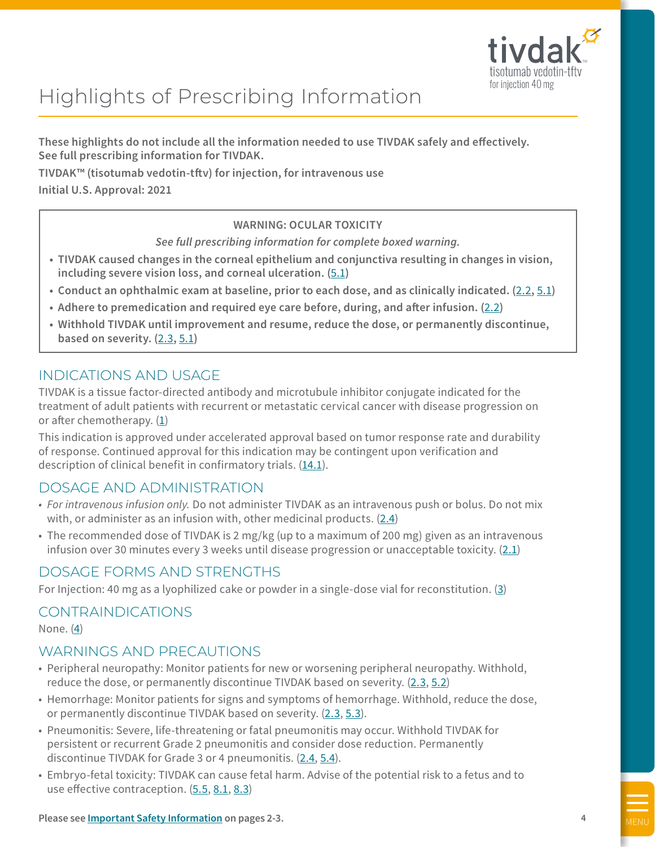

# Highlights of Prescribing Information

**These highlights do not include all the information needed to use TIVDAK safely and effectively. See full prescribing information for TIVDAK.**

**TIVDAK™ (tisotumab vedotin-tftv) for injection, for intravenous use**

**Initial U.S. Approval: 2021**

## **WARNING: OCULAR TOXICITY**

*See full prescribing information for complete boxed warning.*

- **• TIVDAK caused changes in the corneal epithelium and conjunctiva resulting in changes in vision, including severe vision loss, and corneal ulceration. (**[5.1](#page-12-0)**)**
- **• Conduct an ophthalmic exam at baseline, prior to each dose, and as clinically indicated. (**[2.2](#page-7-0)**,** [5.1](#page-12-0)**)**
- **• Adhere to premedication and required eye care before, during, and after infusion. (**[2.2](#page-7-0)**)**
- **• Withhold TIVDAK until improvement and resume, reduce the dose, or permanently discontinue, based on severity. (**[2.3](#page-7-0)**,** [5.1](#page-12-0)**)**

# INDICATIONS AND USAGE

TIVDAK is a tissue factor-directed antibody and microtubule inhibitor conjugate indicated for the treatment of adult patients with recurrent or metastatic cervical cancer with disease progression on or after chemotherapy.  $(1)$  $(1)$ 

This indication is approved under accelerated approval based on tumor response rate and durability of response. Continued approval for this indication may be contingent upon verification and description of clinical benefit in confirmatory trials. [\(14.1](#page-27-0)).

# DOSAGE AND ADMINISTRATION

- *• For intravenous infusion only.* Do not administer TIVDAK as an intravenous push or bolus. Do not mix with, or administer as an infusion with, other medicinal products. [\(2.4](#page-9-0))
- The recommended dose of TIVDAK is 2 mg/kg (up to a maximum of 200 mg) given as an intravenous infusion over 30 minutes every 3 weeks until disease progression or unacceptable toxicity. ([2.1](#page-7-0))

# DOSAGE FORMS AND STRENGTHS

For Injection: 40 mg as a lyophilized cake or powder in a single-dose vial for reconstitution. [\(3\)](#page-11-0)

# CONTRAINDICATIONS

None. [\(4\)](#page-12-0)

# WARNINGS AND PRECAUTIONS

- Peripheral neuropathy: Monitor patients for new or worsening peripheral neuropathy. Withhold, reduce the dose, or permanently discontinue TIVDAK based on severity. [\(2.3](#page-7-0), [5.2](#page-12-0))
- Hemorrhage: Monitor patients for signs and symptoms of hemorrhage. Withhold, reduce the dose, or permanently discontinue TIVDAK based on severity. ([2.3](#page-7-0), [5.3](#page-13-0)).
- Pneumonitis: Severe, life-threatening or fatal pneumonitis may occur. Withhold TIVDAK for persistent or recurrent Grade 2 pneumonitis and consider dose reduction. Permanently discontinue TIVDAK for Grade 3 or 4 pneumonitis. [\(2.4](#page-9-0), [5.4](#page-13-0)).
- Embryo-fetal toxicity: TIVDAK can cause fetal harm. Advise of the potential risk to a fetus and to use effective contraception. [\(5.5](#page-13-0), [8.1](#page-20-0), [8.3\)](#page-21-0)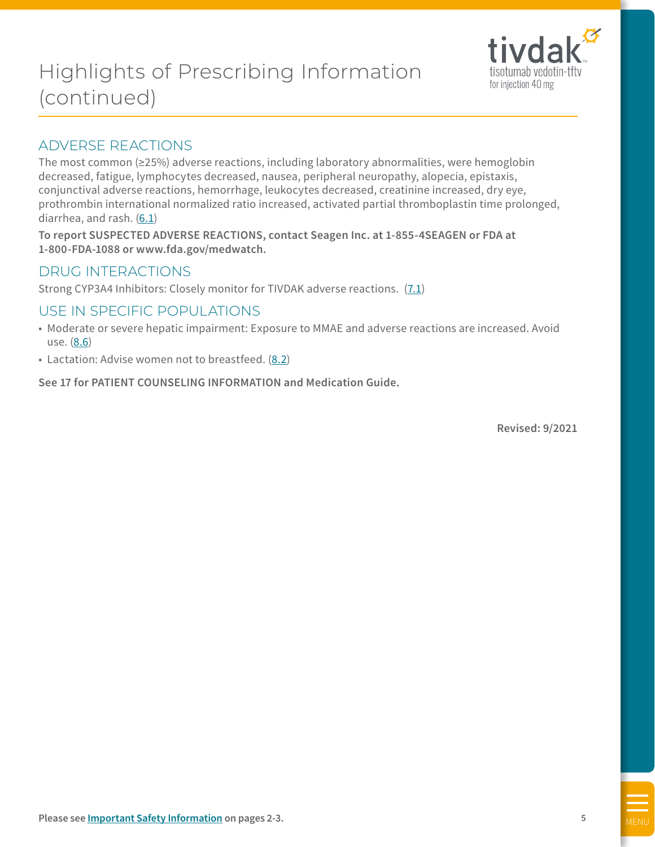# Highlights of Prescribing Information (continued)



# ADVERSE REACTIONS

The most common (≥25%) adverse reactions, including laboratory abnormalities, were hemoglobin decreased, fatigue, lymphocytes decreased, nausea, peripheral neuropathy, alopecia, epistaxis, conjunctival adverse reactions, hemorrhage, leukocytes decreased, creatinine increased, dry eye, prothrombin international normalized ratio increased, activated partial thromboplastin time prolonged, diarrhea, and rash. [\(6.1\)](#page-14-0)

**To report SUSPECTED ADVERSE REACTIONS, contact Seagen Inc. at 1-855-4SEAGEN or FDA at 1-800-FDA-1088 or [www.fda.gov/medwatch](http://www.fda.gov/medwatch).**

# DRUG INTERACTIONS

Strong CYP3A4 Inhibitors: Closely monitor for TIVDAK adverse reactions. [\(7.1](#page-19-0))

# USE IN SPECIFIC POPULATIONS

- Moderate or severe hepatic impairment: Exposure to MMAE and adverse reactions are increased. Avoid use. ([8.6\)](#page-21-0)
- Lactation: Advise women not to breastfeed. [\(8.2](#page-20-0))

**See 17 for PATIENT COUNSELING INFORMATION and Medication Guide.**

**Revised: 9/2021**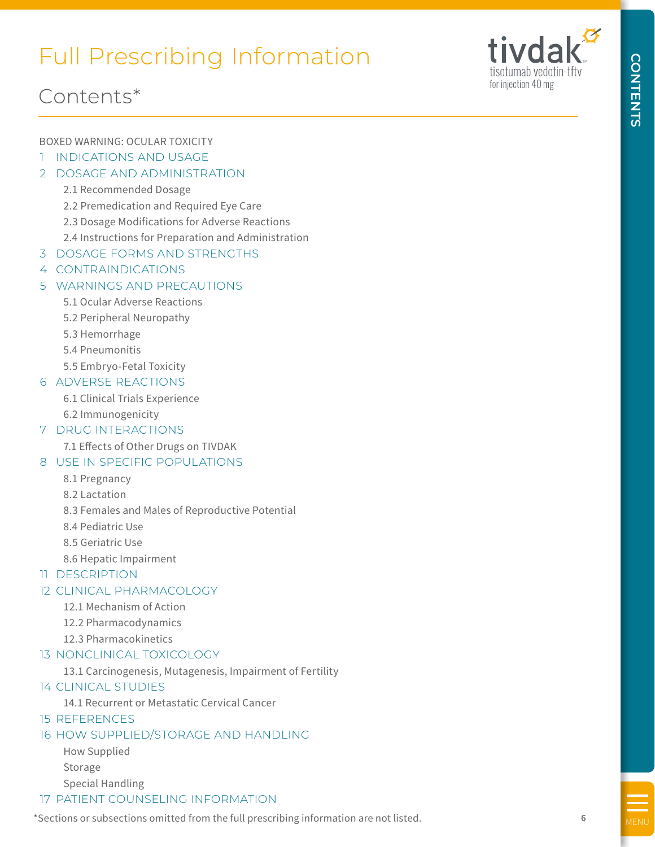# <span id="page-5-0"></span>Full Prescribing Information



**CONTENTS**

**CONTENTS** 

# Contents\*

# BOXED WARNING: OCULAR TOXICITY

- 1 [INDICATIONS AND USAGE](#page-6-0)
- 2 [DOSAGE AND ADMINISTRATION](#page-7-0)

# [2.1 Recommended Dosage](#page-7-0)

- [2.2 Premedication and Required Eye Care](#page-7-0)
- [2.3 Dosage Modifications for Adverse Reactions](#page-7-0)
- [2.4 Instructions for Preparation and Administration](#page-9-0)
- 3 [DOSAGE FORMS AND STRENGTHS](#page-11-0)
- 4 [CONTRAINDICATIONS](#page-12-0)

# 5 [WARNINGS AND PRECAUTIONS](#page-12-0)

- [5.1 Ocular Adverse Reactions](#page-12-0)
- [5.2 Peripheral Neuropathy](#page-12-0)
- [5.3 Hemorrhage](#page-13-0)
- [5.4 Pneumonitis](#page-13-0)
- [5.5 Embryo-Fetal Toxicity](#page-13-0)

# [6 ADVERSE REACTIONS](#page-14-0)

- [6.1 Clinical Trials Experience](#page-14-0)
- [6.2 Immunogenicity](#page-18-0)

## [7 DRUG INTERACTIONS](#page-19-0)

[7.1 Effects of Other Drugs on TIVDAK](#page-19-0)

# [8 USE IN SPECIFIC POPULATIONS](#page-20-0)

- [8.1 Pregnancy](#page-20-0)
- [8.2 Lactation](#page-20-0)
- [8.3 Females and Males of Reproductive Potential](#page-21-0)
- [8.4 Pediatric Use](#page-21-0)
- [8.5 Geriatric Use](#page-21-0)
- [8.6 Hepatic Impairment](#page-21-0)
- [11 DESCRIPTION](#page-22-0)

## [12 CLINICAL PHARMACOLOGY](#page-23-0)

- [12.1 Mechanism of Action](#page-23-0)
- [12.2 Pharmacodynamics](#page-23-0)
- [12.3 Pharmacokinetics](#page-23-0)

## [13 NONCLINICAL TOXICOLOGY](#page-26-0)

[13.1 Carcinogenesis, Mutagenesis, Impairment of Fertility](#page-26-0)

## [14 CLINICAL STUDIES](#page-27-0)

- [14.1 Recurrent or Metastatic Cervical Cancer](#page-27-0)
- [15 REFERENCES](#page-28-0)

## [16 HOW SUPPLIED/STORAGE AND HANDLING](#page-29-0)

 [How Supplied](#page-29-0) [Storage](#page-29-0) [Special Handling](#page-29-0)

## [17 PATIENT COUNSELING INFORMATION](#page-30-0)

\*Sections or subsections omitted from the full prescribing information are not listed.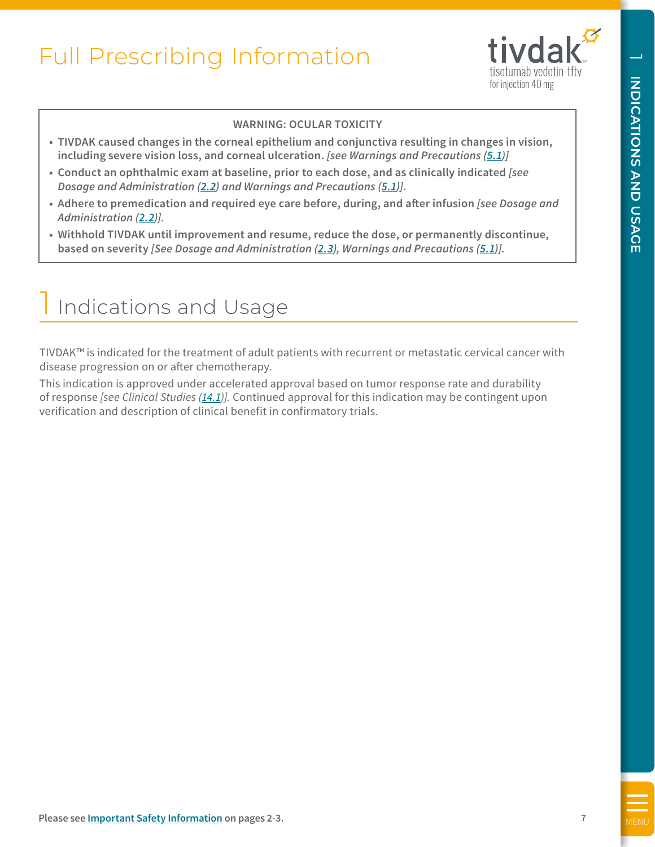

#### **WARNING: OCULAR TOXICITY**

- <span id="page-6-0"></span>**• TIVDAK caused changes in the corneal epithelium and conjunctiva resulting in changes in vision, including severe vision loss, and corneal ulceration.** *[see Warnings and Precautions [\(5.1](#page-12-0))]*
- **• Conduct an ophthalmic exam at baseline, prior to each dose, and as clinically indicated** *[see Dosage and Administration ([2.2\)](#page-7-0) and Warnings and Precautions ([5.1\)](#page-12-0)].*
- **• Adhere to premedication and required eye care before, during, and after infusion** *[see Dosage and Administration [\(2.2](#page-7-0))].*
- **• Withhold TIVDAK until improvement and resume, reduce the dose, or permanently discontinue, based on severity** *[See Dosage and Administration [\(2.3\)](#page-7-0), Warnings and Precautions ([5.1\)](#page-12-0)].*

# Indications and Usage

TIVDAK™ is indicated for the treatment of adult patients with recurrent or metastatic cervical cancer with disease progression on or after chemotherapy.

This indication is approved under accelerated approval based on tumor response rate and durability of response *[see Clinical Studies ([14.1\)](#page-27-0)].* Continued approval for this indication may be contingent upon verification and description of clinical benefit in confirmatory trials.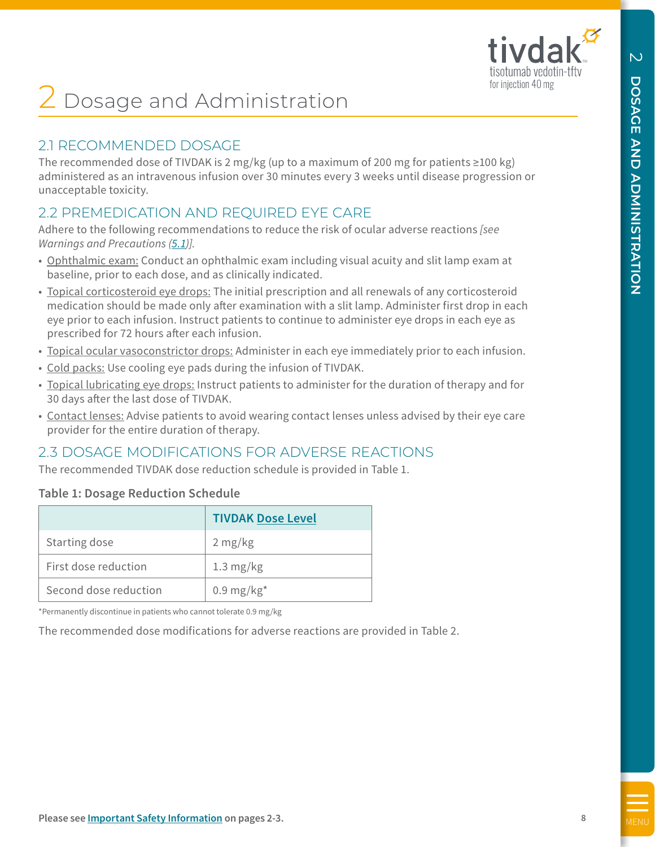

# <span id="page-7-0"></span>**∠** Dosage and Administration

# 2.1 RECOMMENDED DOSAGE

The recommended dose of TIVDAK is 2 mg/kg (up to a maximum of 200 mg for patients ≥100 kg) administered as an intravenous infusion over 30 minutes every 3 weeks until disease progression or unacceptable toxicity.

# 2.2 PREMEDICATION AND REQUIRED EYE CARE

Adhere to the following recommendations to reduce the risk of ocular adverse reactions *[see Warnings and Precautions ([5.1\)](#page-12-0)].*

- Ophthalmic exam: Conduct an ophthalmic exam including visual acuity and slit lamp exam at baseline, prior to each dose, and as clinically indicated.
- Topical corticosteroid eye drops: The initial prescription and all renewals of any corticosteroid medication should be made only after examination with a slit lamp. Administer first drop in each eye prior to each infusion. Instruct patients to continue to administer eye drops in each eye as prescribed for 72 hours after each infusion.
- Topical ocular vasoconstrictor drops: Administer in each eye immediately prior to each infusion.
- Cold packs: Use cooling eye pads during the infusion of TIVDAK.
- Topical lubricating eye drops: Instruct patients to administer for the duration of therapy and for 30 days after the last dose of TIVDAK.
- Contact lenses: Advise patients to avoid wearing contact lenses unless advised by their eye care provider for the entire duration of therapy.

# 2.3 DOSAGE MODIFICATIONS FOR ADVERSE REACTIONS

The recommended TIVDAK dose reduction schedule is provided in Table 1.

## **Table 1: Dosage Reduction Schedule**

|                       | <b>TIVDAK Dose Level</b> |
|-----------------------|--------------------------|
| Starting dose         | $2 \frac{mg}{kg}$        |
| First dose reduction  | $1.3 \text{ mg/kg}$      |
| Second dose reduction | $0.9 \text{ mg/kg}^*$    |

\*Permanently discontinue in patients who cannot tolerate 0.9 mg/kg

The recommended dose modifications for adverse reactions are provided in Table 2.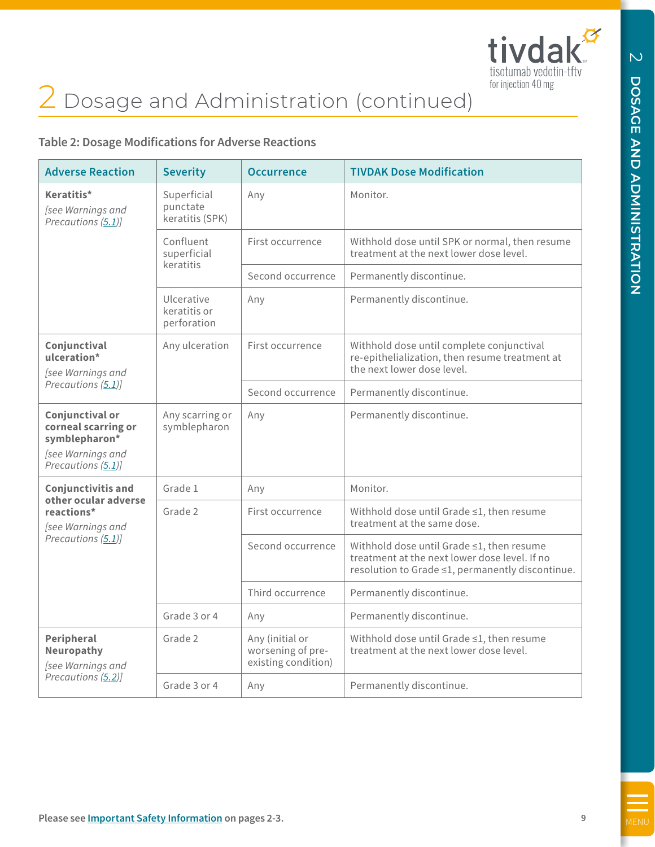

# 2 Dosage and Administration (continued)

# **Table 2: Dosage Modifications for Adverse Reactions**

| <b>Adverse Reaction</b>                                                                            | <b>Severity</b>                            | <b>Occurrence</b>                                           | <b>TIVDAK Dose Modification</b>                                                                                                                |
|----------------------------------------------------------------------------------------------------|--------------------------------------------|-------------------------------------------------------------|------------------------------------------------------------------------------------------------------------------------------------------------|
| Keratitis*<br>[see Warnings and<br>Precautions (5.1)]                                              | Superficial<br>punctate<br>keratitis (SPK) | Any                                                         | Monitor.                                                                                                                                       |
|                                                                                                    | Confluent<br>superficial<br>keratitis      | First occurrence                                            | Withhold dose until SPK or normal, then resume<br>treatment at the next lower dose level.                                                      |
|                                                                                                    |                                            | Second occurrence                                           | Permanently discontinue.                                                                                                                       |
|                                                                                                    | Ulcerative<br>keratitis or<br>perforation  | Any                                                         | Permanently discontinue.                                                                                                                       |
| Conjunctival<br>ulceration*<br>[see Warnings and                                                   | Any ulceration                             | First occurrence                                            | Withhold dose until complete conjunctival<br>re-epithelialization, then resume treatment at<br>the next lower dose level.                      |
| Precautions (5.1)]                                                                                 |                                            | Second occurrence                                           | Permanently discontinue.                                                                                                                       |
| Conjunctival or<br>corneal scarring or<br>symblepharon*<br>[see Warnings and<br>Precautions (5.1)] | Any scarring or<br>symblepharon            | Any                                                         | Permanently discontinue.                                                                                                                       |
| <b>Conjunctivitis and</b>                                                                          | Grade 1                                    | Any                                                         | Monitor.                                                                                                                                       |
| other ocular adverse<br>reactions*<br>[see Warnings and                                            | Grade 2                                    | First occurrence                                            | Withhold dose until Grade ≤1, then resume<br>treatment at the same dose.                                                                       |
| Precautions (5.1)]                                                                                 |                                            | Second occurrence                                           | Withhold dose until Grade ≤1, then resume<br>treatment at the next lower dose level. If no<br>resolution to Grade ≤1, permanently discontinue. |
|                                                                                                    |                                            | Third occurrence                                            | Permanently discontinue.                                                                                                                       |
|                                                                                                    | Grade 3 or 4                               | Any                                                         | Permanently discontinue.                                                                                                                       |
| Peripheral<br><b>Neuropathy</b><br>[see Warnings and                                               | Grade 2                                    | Any (initial or<br>worsening of pre-<br>existing condition) | Withhold dose until Grade ≤1, then resume<br>treatment at the next lower dose level.                                                           |
| Precautions (5.2)]                                                                                 | Grade 3 or 4                               | Any                                                         | Permanently discontinue.                                                                                                                       |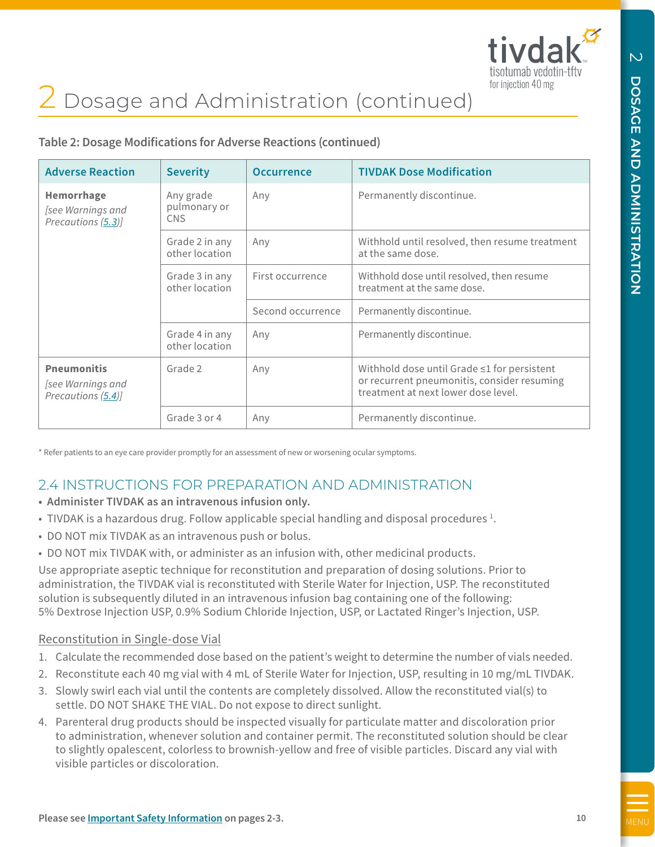

# <span id="page-9-0"></span>2 Dosage and Administration (continued)

**Table 2: Dosage Modifications for Adverse Reactions (continued)**

| <b>Adverse Reaction</b>                                       | <b>Severity</b>                         | <b>Occurrence</b> | <b>TIVDAK Dose Modification</b>                                                                                                         |
|---------------------------------------------------------------|-----------------------------------------|-------------------|-----------------------------------------------------------------------------------------------------------------------------------------|
| <b>Hemorrhage</b><br>[see Warnings and<br>Precautions (5.3)]  | Any grade<br>pulmonary or<br><b>CNS</b> | Any               | Permanently discontinue.                                                                                                                |
|                                                               | Grade 2 in any<br>other location        | Any               | Withhold until resolved, then resume treatment<br>at the same dose.                                                                     |
|                                                               | Grade 3 in any<br>other location        | First occurrence  | Withhold dose until resolved, then resume<br>treatment at the same dose.                                                                |
|                                                               |                                         | Second occurrence | Permanently discontinue.                                                                                                                |
|                                                               | Grade 4 in any<br>other location        | Any               | Permanently discontinue.                                                                                                                |
| <b>Pneumonitis</b><br>[see Warnings and<br>Precautions (5.4)] | Grade 2                                 | Any               | Withhold dose until Grade $\leq$ 1 for persistent<br>or recurrent pneumonitis, consider resuming<br>treatment at next lower dose level. |
|                                                               | Grade 3 or 4                            | Any               | Permanently discontinue.                                                                                                                |

\* Refer patients to an eye care provider promptly for an assessment of new or worsening ocular symptoms.

# 2.4 INSTRUCTIONS FOR PREPARATION AND ADMINISTRATION

- **• Administer TIVDAK as an intravenous infusion only.**
- $\bullet$  TIVDAK is a hazardous drug. Follow applicable special handling and disposal procedures  $^1$ .
- DO NOT mix TIVDAK as an intravenous push or bolus.
- DO NOT mix TIVDAK with, or administer as an infusion with, other medicinal products.

Use appropriate aseptic technique for reconstitution and preparation of dosing solutions. Prior to administration, the TIVDAK vial is reconstituted with Sterile Water for Injection, USP. The reconstituted solution is subsequently diluted in an intravenous infusion bag containing one of the following: 5% Dextrose Injection USP, 0.9% Sodium Chloride Injection, USP, or Lactated Ringer's Injection, USP.

#### Reconstitution in Single-dose Vial

- 1. Calculate the recommended dose based on the patient's weight to determine the number of vials needed.
- 2. Reconstitute each 40 mg vial with 4 mL of Sterile Water for Injection, USP, resulting in 10 mg/mL TIVDAK.
- 3. Slowly swirl each vial until the contents are completely dissolved. Allow the reconstituted vial(s) to settle. DO NOT SHAKE THE VIAL. Do not expose to direct sunlight.
- 4. Parenteral drug products should be inspected visually for particulate matter and discoloration prior to administration, whenever solution and container permit. The reconstituted solution should be clear to slightly opalescent, colorless to brownish-yellow and free of visible particles. Discard any vial with visible particles or discoloration.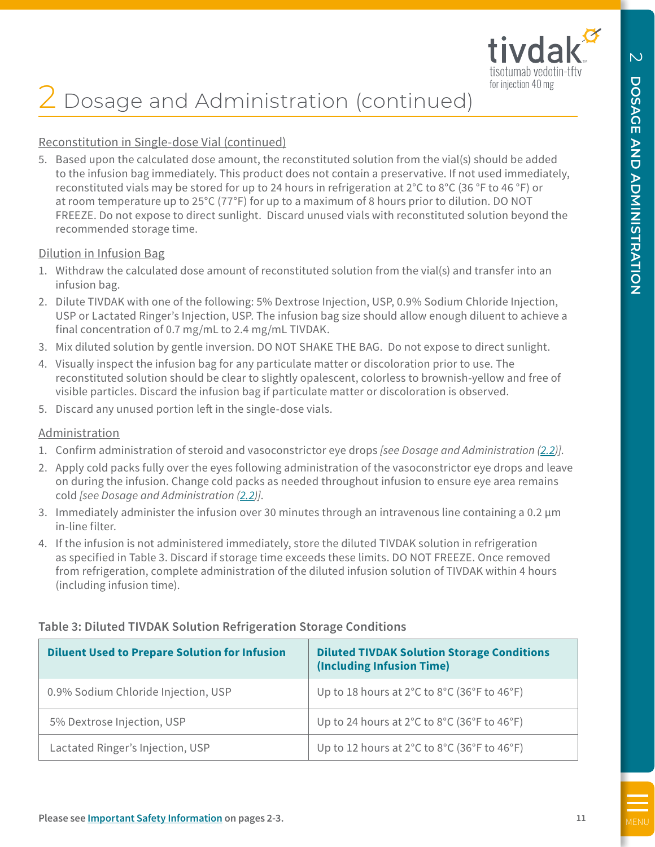

# 2 Dosage and Administration (continued)

## Reconstitution in Single-dose Vial (continued)

5. Based upon the calculated dose amount, the reconstituted solution from the vial(s) should be added to the infusion bag immediately. This product does not contain a preservative. If not used immediately, reconstituted vials may be stored for up to 24 hours in refrigeration at 2°C to 8°C (36 °F to 46 °F) or at room temperature up to 25°C (77°F) for up to a maximum of 8 hours prior to dilution. DO NOT FREEZE. Do not expose to direct sunlight. Discard unused vials with reconstituted solution beyond the recommended storage time.

#### Dilution in Infusion Bag

- 1. Withdraw the calculated dose amount of reconstituted solution from the vial(s) and transfer into an infusion bag.
- 2. Dilute TIVDAK with one of the following: 5% Dextrose Injection, USP, 0.9% Sodium Chloride Injection, USP or Lactated Ringer's Injection, USP. The infusion bag size should allow enough diluent to achieve a final concentration of 0.7 mg/mL to 2.4 mg/mL TIVDAK.
- 3. Mix diluted solution by gentle inversion. DO NOT SHAKE THE BAG. Do not expose to direct sunlight.
- 4. Visually inspect the infusion bag for any particulate matter or discoloration prior to use. The reconstituted solution should be clear to slightly opalescent, colorless to brownish-yellow and free of visible particles. Discard the infusion bag if particulate matter or discoloration is observed.
- 5. Discard any unused portion left in the single-dose vials.

## Administration

- 1. Confirm administration of steroid and vasoconstrictor eye drops *[see Dosage and Administration [\(2.2\)](#page-7-0)]*.
- 2. Apply cold packs fully over the eyes following administration of the vasoconstrictor eye drops and leave on during the infusion. Change cold packs as needed throughout infusion to ensure eye area remains cold *[see Dosage and Administration [\(2.2\)](#page-7-0)]*.
- 3. Immediately administer the infusion over 30 minutes through an intravenous line containing a 0.2 µm in-line filter.
- 4. If the infusion is not administered immediately, store the diluted TIVDAK solution in refrigeration as specified in Table 3. Discard if storage time exceeds these limits. DO NOT FREEZE. Once removed from refrigeration, complete administration of the diluted infusion solution of TIVDAK within 4 hours (including infusion time).

| <b>Diluent Used to Prepare Solution for Infusion</b> | <b>Diluted TIVDAK Solution Storage Conditions</b><br>(Including Infusion Time)        |
|------------------------------------------------------|---------------------------------------------------------------------------------------|
| 0.9% Sodium Chloride Injection, USP                  | Up to 18 hours at $2^{\circ}$ C to $8^{\circ}$ C (36 $^{\circ}$ F to 46 $^{\circ}$ F) |
| 5% Dextrose Injection, USP                           | Up to 24 hours at $2^{\circ}$ C to $8^{\circ}$ C (36 $^{\circ}$ F to 46 $^{\circ}$ F) |
| Lactated Ringer's Injection, USP                     | Up to 12 hours at $2^{\circ}$ C to $8^{\circ}$ C (36 $^{\circ}$ F to 46 $^{\circ}$ F) |

## **Table 3: Diluted TIVDAK Solution Refrigeration Storage Conditions**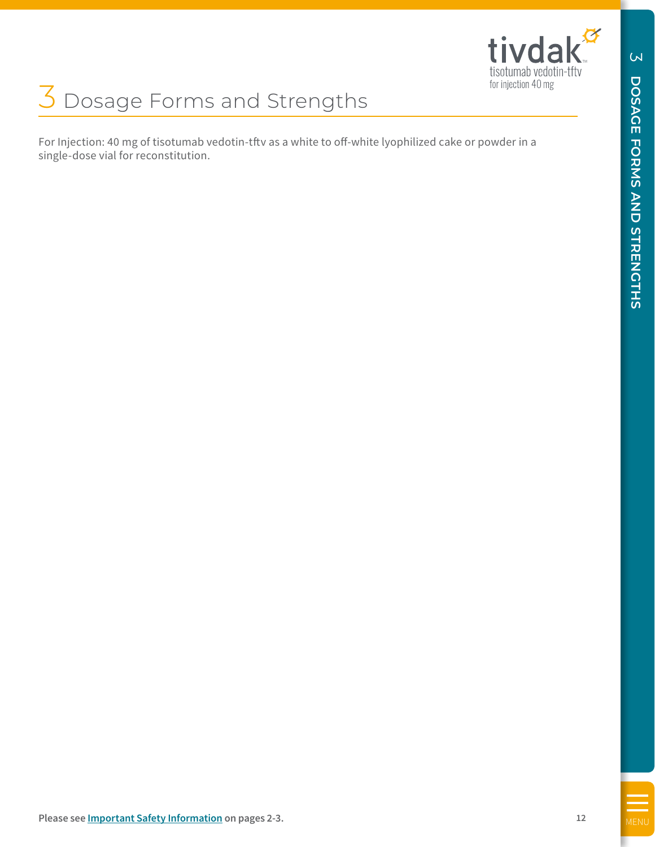

<span id="page-11-0"></span>For Injection: 40 mg of tisotumab vedotin-tftv as a white to off-white lyophilized cake or powder in a single-dose vial for reconstitution.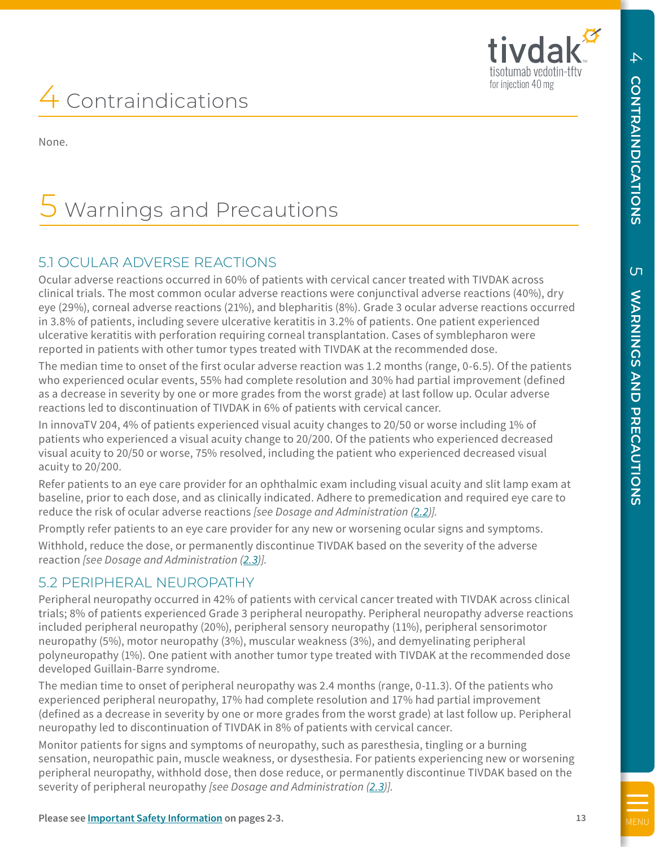tivd:

tisotumab vedotin-tftv

 $\overline{C}$ 

# 4 Contraindications

None.

# Warnings and Precautions

# 5.1 OCULAR ADVERSE REACTIONS

Ocular adverse reactions occurred in 60% of patients with cervical cancer treated with TIVDAK across clinical trials. The most common ocular adverse reactions were conjunctival adverse reactions (40%), dry eye (29%), corneal adverse reactions (21%), and blepharitis (8%). Grade 3 ocular adverse reactions occurred in 3.8% of patients, including severe ulcerative keratitis in 3.2% of patients. One patient experienced ulcerative keratitis with perforation requiring corneal transplantation. Cases of symblepharon were reported in patients with other tumor types treated with TIVDAK at the recommended dose.

The median time to onset of the first ocular adverse reaction was 1.2 months (range, 0-6.5). Of the patients who experienced ocular events, 55% had complete resolution and 30% had partial improvement (defined as a decrease in severity by one or more grades from the worst grade) at last follow up. Ocular adverse reactions led to discontinuation of TIVDAK in 6% of patients with cervical cancer.

In innovaTV 204, 4% of patients experienced visual acuity changes to 20/50 or worse including 1% of patients who experienced a visual acuity change to 20/200. Of the patients who experienced decreased visual acuity to 20/50 or worse, 75% resolved, including the patient who experienced decreased visual acuity to 20/200.

Refer patients to an eye care provider for an ophthalmic exam including visual acuity and slit lamp exam at baseline, prior to each dose, and as clinically indicated. Adhere to premedication and required eye care to reduce the risk of ocular adverse reactions *[see Dosage and Administration [\(2.2\)](#page-7-0)].* 

Promptly refer patients to an eye care provider for any new or worsening ocular signs and symptoms.

Withhold, reduce the dose, or permanently discontinue TIVDAK based on the severity of the adverse reaction *[see Dosage and Administration [\(2.3\)](#page-7-0)].*

# 5.2 PERIPHERAL NEUROPATHY

<span id="page-12-0"></span>To the interaction of the second of the interaction of the interaction of the interaction of the interaction of the interaction  $\frac{1}{2}$  and the interaction  $\frac{1}{2}$  and  $\frac{1}{2}$  and  $\frac{1}{2}$  and  $\frac{1}{2}$  and  $\frac{1}{2}$ Peripheral neuropathy occurred in 42% of patients with cervical cancer treated with TIVDAK across clinical trials; 8% of patients experienced Grade 3 peripheral neuropathy. Peripheral neuropathy adverse reactions included peripheral neuropathy (20%), peripheral sensory neuropathy (11%), peripheral sensorimotor neuropathy (5%), motor neuropathy (3%), muscular weakness (3%), and demyelinating peripheral polyneuropathy (1%). One patient with another tumor type treated with TIVDAK at the recommended dose developed Guillain-Barre syndrome.

The median time to onset of peripheral neuropathy was 2.4 months (range, 0-11.3). Of the patients who experienced peripheral neuropathy, 17% had complete resolution and 17% had partial improvement (defined as a decrease in severity by one or more grades from the worst grade) at last follow up. Peripheral neuropathy led to discontinuation of TIVDAK in 8% of patients with cervical cancer.

Monitor patients for signs and symptoms of neuropathy, such as paresthesia, tingling or a burning sensation, neuropathic pain, muscle weakness, or dysesthesia. For patients experiencing new or worsening peripheral neuropathy, withhold dose, then dose reduce, or permanently discontinue TIVDAK based on the severity of peripheral neuropathy *[see Dosage and Administration ([2.3](#page-7-0))].*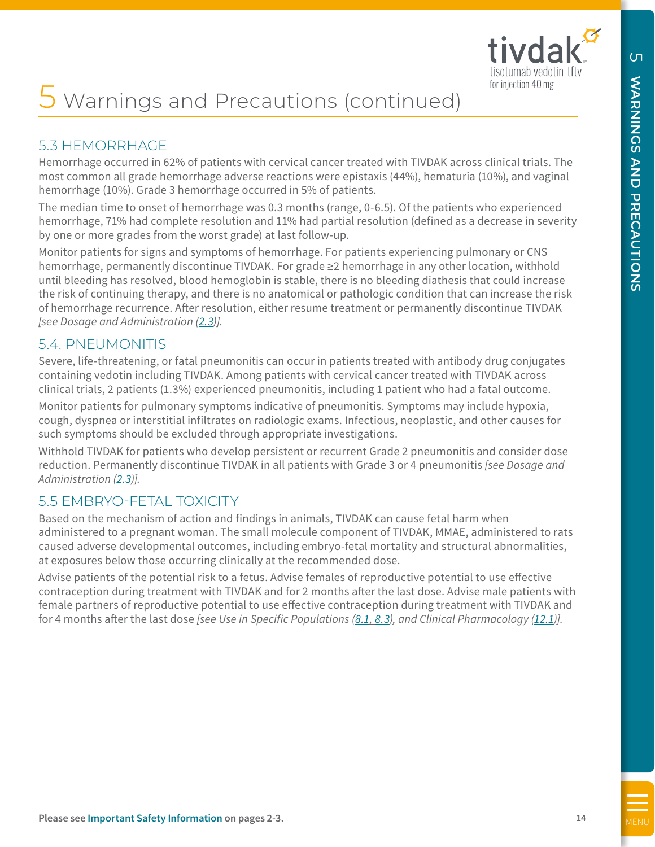

# 5 Warnings and Precautions (continued)

# 5.3 HEMORRHAGE

Hemorrhage occurred in 62% of patients with cervical cancer treated with TIVDAK across clinical trials. The most common all grade hemorrhage adverse reactions were epistaxis (44%), hematuria (10%), and vaginal hemorrhage (10%). Grade 3 hemorrhage occurred in 5% of patients.

The median time to onset of hemorrhage was 0.3 months (range, 0-6.5). Of the patients who experienced hemorrhage, 71% had complete resolution and 11% had partial resolution (defined as a decrease in severity by one or more grades from the worst grade) at last follow-up.

<span id="page-13-0"></span>**S** Warnings and Precautions (contrinued)<br>
S.3. HEMONEMONS (CONTRINUED)<br>
E.5. HEMONEMONS (THE STRATE STRATE STRATE STRATE STRATE STRATE STRATE STRATE STRATE STRATE STRATE STRATE STRATE STRATE STRATE STRATE STRATE STRATE ST Monitor patients for signs and symptoms of hemorrhage. For patients experiencing pulmonary or CNS hemorrhage, permanently discontinue TIVDAK. For grade ≥2 hemorrhage in any other location, withhold until bleeding has resolved, blood hemoglobin is stable, there is no bleeding diathesis that could increase the risk of continuing therapy, and there is no anatomical or pathologic condition that can increase the risk of hemorrhage recurrence. After resolution, either resume treatment or permanently discontinue TIVDAK *[see Dosage and Administration [\(2.3\)](#page-7-0)].* 

# 5.4. PNEUMONITIS

Severe, life-threatening, or fatal pneumonitis can occur in patients treated with antibody drug conjugates containing vedotin including TIVDAK. Among patients with cervical cancer treated with TIVDAK across clinical trials, 2 patients (1.3%) experienced pneumonitis, including 1 patient who had a fatal outcome.

Monitor patients for pulmonary symptoms indicative of pneumonitis. Symptoms may include hypoxia, cough, dyspnea or interstitial infiltrates on radiologic exams. Infectious, neoplastic, and other causes for such symptoms should be excluded through appropriate investigations.

Withhold TIVDAK for patients who develop persistent or recurrent Grade 2 pneumonitis and consider dose reduction. Permanently discontinue TIVDAK in all patients with Grade 3 or 4 pneumonitis *[see Dosage and Administration [\(2.3\)](#page-7-0)].*

# 5.5 EMBRYO-FETAL TOXICITY

Based on the mechanism of action and findings in animals, TIVDAK can cause fetal harm when administered to a pregnant woman. The small molecule component of TIVDAK, MMAE, administered to rats caused adverse developmental outcomes, including embryo-fetal mortality and structural abnormalities, at exposures below those occurring clinically at the recommended dose.

Advise patients of the potential risk to a fetus. Advise females of reproductive potential to use effective contraception during treatment with TIVDAK and for 2 months after the last dose. Advise male patients with female partners of reproductive potential to use effective contraception during treatment with TIVDAK and for 4 months after the last dose *[see Use in Specific Populations [\(8.1,](#page-20-0) [8.3](#page-21-0)), and Clinical Pharmacology [\(12.1\)](#page-23-0)].*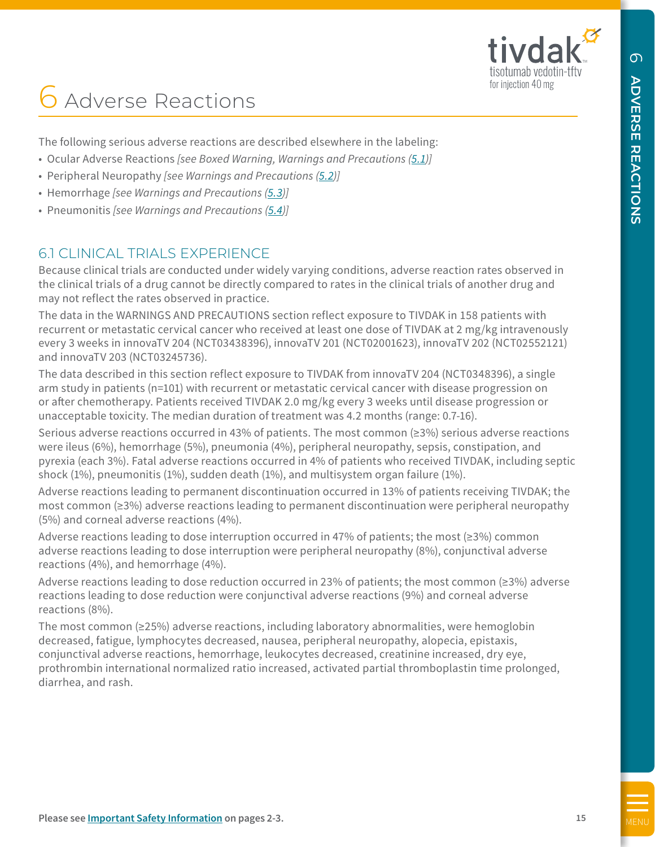

# **6** Adverse Reactions

The following serious adverse reactions are described elsewhere in the labeling:

- Ocular Adverse Reactions *[see Boxed Warning, Warnings and Precautions ([5.1\)](#page-12-0)]*
- Peripheral Neuropathy *[see Warnings and Precautions [\(5.2\)](#page-12-0)]*
- Hemorrhage *[see Warnings and Precautions [\(5.3\)](#page-13-0)]*
- Pneumonitis *[see Warnings and Precautions ([5.4](#page-13-0))]*

# 6.1 CLINICAL TRIALS EXPERIENCE

Because clinical trials are conducted under widely varying conditions, adverse reaction rates observed in the clinical trials of a drug cannot be directly compared to rates in the clinical trials of another drug and may not reflect the rates observed in practice.

The data in the WARNINGS AND PRECAUTIONS section reflect exposure to TIVDAK in 158 patients with recurrent or metastatic cervical cancer who received at least one dose of TIVDAK at 2 mg/kg intravenously every 3 weeks in innovaTV 204 (NCT03438396), innovaTV 201 (NCT02001623), innovaTV 202 (NCT02552121) and innovaTV 203 (NCT03245736).

The data described in this section reflect exposure to TIVDAK from innovaTV 204 (NCT0348396), a single arm study in patients (n=101) with recurrent or metastatic cervical cancer with disease progression on or after chemotherapy. Patients received TIVDAK 2.0 mg/kg every 3 weeks until disease progression or unacceptable toxicity. The median duration of treatment was 4.2 months (range: 0.7-16).

Serious adverse reactions occurred in 43% of patients. The most common (≥3%) serious adverse reactions were ileus (6%), hemorrhage (5%), pneumonia (4%), peripheral neuropathy, sepsis, constipation, and pyrexia (each 3%). Fatal adverse reactions occurred in 4% of patients who received TIVDAK, including septic shock (1%), pneumonitis (1%), sudden death (1%), and multisystem organ failure (1%).

Adverse reactions leading to permanent discontinuation occurred in 13% of patients receiving TIVDAK; the most common (≥3%) adverse reactions leading to permanent discontinuation were peripheral neuropathy (5%) and corneal adverse reactions (4%).

Adverse reactions leading to dose interruption occurred in 47% of patients; the most (≥3%) common adverse reactions leading to dose interruption were peripheral neuropathy (8%), conjunctival adverse reactions (4%), and hemorrhage (4%).

Adverse reactions leading to dose reduction occurred in 23% of patients; the most common (≥3%) adverse reactions leading to dose reduction were conjunctival adverse reactions (9%) and corneal adverse reactions (8%).

<span id="page-14-0"></span>**[MENU](#page-5-0)MBER CREASE INTERNATION SCRIPTION** in the second of the second of the second and the second and the second of the second of the second of the second of the second of the second of the second of the second of the seco The most common (≥25%) adverse reactions, including laboratory abnormalities, were hemoglobin decreased, fatigue, lymphocytes decreased, nausea, peripheral neuropathy, alopecia, epistaxis, conjunctival adverse reactions, hemorrhage, leukocytes decreased, creatinine increased, dry eye, prothrombin international normalized ratio increased, activated partial thromboplastin time prolonged, diarrhea, and rash.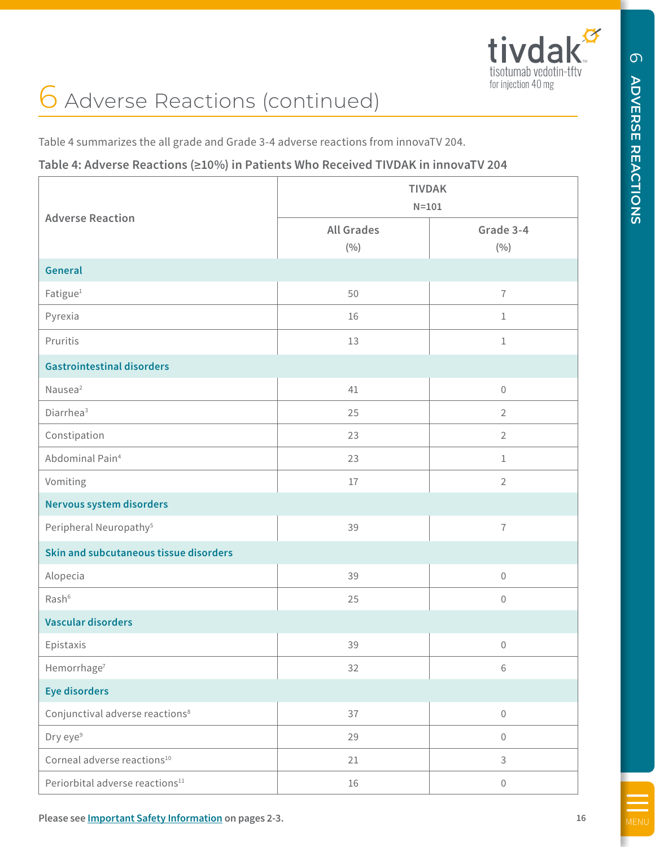

# 6 Adverse Reactions (continued)

# **Table 4: Adverse Reactions (≥10%) in Patients Who Received TIVDAK in innovaTV 204**

| Table 4 summarizes the all grade and Grade 3-4 adverse reactions from innovaTV 204.<br>Table 4: Adverse Reactions (≥10%) in Patients Who Received TIVDAK in innovaTV 204 |                          |                            |
|--------------------------------------------------------------------------------------------------------------------------------------------------------------------------|--------------------------|----------------------------|
|                                                                                                                                                                          |                          | <b>TIVDAK</b><br>$N = 101$ |
| <b>Adverse Reaction</b>                                                                                                                                                  | <b>All Grades</b><br>(%) | Grade 3-4<br>(%)           |
| General                                                                                                                                                                  |                          |                            |
| Fatigue <sup>1</sup>                                                                                                                                                     | 50                       | $\overline{1}$             |
| Pyrexia                                                                                                                                                                  | 16                       | $\mathbf{1}$               |
| Pruritis                                                                                                                                                                 | 13                       | $\mathbf{1}$               |
| <b>Gastrointestinal disorders</b>                                                                                                                                        |                          |                            |
| Nausea <sup>2</sup>                                                                                                                                                      | 41                       | $\mathbf 0$                |
| Diarrhea <sup>3</sup>                                                                                                                                                    | 25                       | $\overline{2}$             |
| Constipation                                                                                                                                                             | 23                       | $\overline{2}$             |
| Abdominal Pain <sup>4</sup>                                                                                                                                              | 23                       | $\mathbf{1}$               |
| Vomiting                                                                                                                                                                 | $17\,$                   | $\overline{2}$             |
| Nervous system disorders                                                                                                                                                 |                          |                            |
| Peripheral Neuropathy <sup>5</sup>                                                                                                                                       | 39                       | $\overline{1}$             |
| Skin and subcutaneous tissue disorders                                                                                                                                   |                          |                            |
| Alopecia                                                                                                                                                                 | 39                       | $\mathsf{O}\xspace$        |
| Rash <sup>6</sup>                                                                                                                                                        | 25                       | $\Omega$                   |
| <b>Vascular disorders</b>                                                                                                                                                |                          |                            |
| Epistaxis                                                                                                                                                                | 39                       | $\mathbf{0}$               |
| Hemorrhage <sup>7</sup>                                                                                                                                                  | 32                       | 6                          |
| <b>Eye disorders</b>                                                                                                                                                     |                          |                            |
| Conjunctival adverse reactions <sup>8</sup>                                                                                                                              | 37                       | $\mathbf{0}$               |
| Dry eye <sup>9</sup>                                                                                                                                                     | 29                       | 0                          |
| Corneal adverse reactions <sup>10</sup>                                                                                                                                  | 21                       | 3                          |
| Periorbital adverse reactions <sup>11</sup>                                                                                                                              | 16                       | $\mathbf{0}$               |

 $\sigma$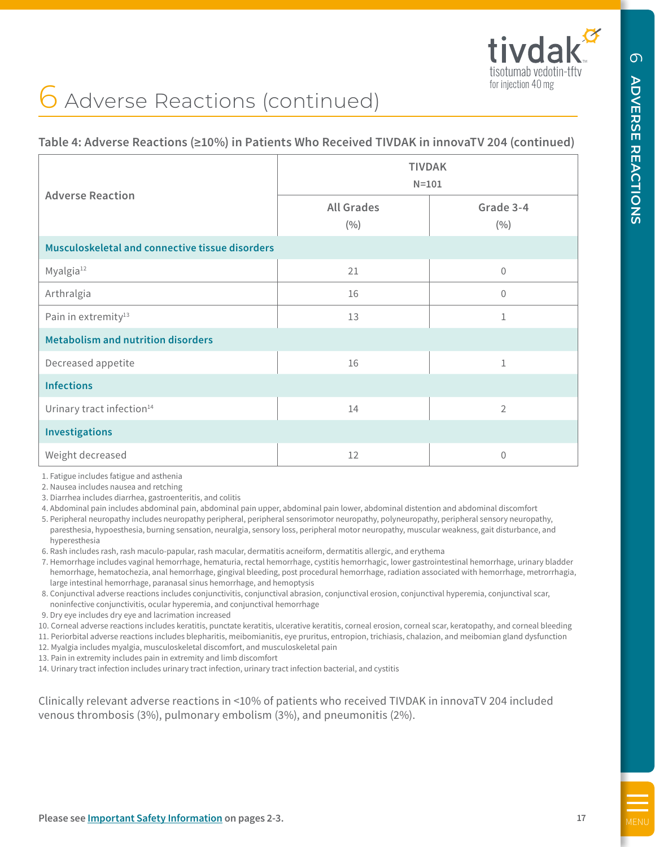# 6 Adverse Reactions (continued)

# **Table 4: Adverse Reactions (≥10%) in Patients Who Received TIVDAK in innovaTV 204 (continued)**

| <b>Adverse Reaction</b>                                                                                                                                                                                                                                                                                                                                                                                                                                                                                                                                                                                                                                                                                                                                                                                                                                                                                                                                                                                                                                                                                                                                                                                                                                                                                                | <b>TIVDAK</b><br>$N = 101$                                                                                                                                   |                                                                                                                                                        |
|------------------------------------------------------------------------------------------------------------------------------------------------------------------------------------------------------------------------------------------------------------------------------------------------------------------------------------------------------------------------------------------------------------------------------------------------------------------------------------------------------------------------------------------------------------------------------------------------------------------------------------------------------------------------------------------------------------------------------------------------------------------------------------------------------------------------------------------------------------------------------------------------------------------------------------------------------------------------------------------------------------------------------------------------------------------------------------------------------------------------------------------------------------------------------------------------------------------------------------------------------------------------------------------------------------------------|--------------------------------------------------------------------------------------------------------------------------------------------------------------|--------------------------------------------------------------------------------------------------------------------------------------------------------|
|                                                                                                                                                                                                                                                                                                                                                                                                                                                                                                                                                                                                                                                                                                                                                                                                                                                                                                                                                                                                                                                                                                                                                                                                                                                                                                                        | <b>All Grades</b><br>(9/0)                                                                                                                                   | Grade 3-4<br>(9/0)                                                                                                                                     |
| Musculoskeletal and connective tissue disorders                                                                                                                                                                                                                                                                                                                                                                                                                                                                                                                                                                                                                                                                                                                                                                                                                                                                                                                                                                                                                                                                                                                                                                                                                                                                        |                                                                                                                                                              |                                                                                                                                                        |
| Myalgia <sup>12</sup>                                                                                                                                                                                                                                                                                                                                                                                                                                                                                                                                                                                                                                                                                                                                                                                                                                                                                                                                                                                                                                                                                                                                                                                                                                                                                                  | 21                                                                                                                                                           | $\mathbf{0}$                                                                                                                                           |
| Arthralgia                                                                                                                                                                                                                                                                                                                                                                                                                                                                                                                                                                                                                                                                                                                                                                                                                                                                                                                                                                                                                                                                                                                                                                                                                                                                                                             | 16                                                                                                                                                           | 0                                                                                                                                                      |
| Pain in extremity <sup>13</sup>                                                                                                                                                                                                                                                                                                                                                                                                                                                                                                                                                                                                                                                                                                                                                                                                                                                                                                                                                                                                                                                                                                                                                                                                                                                                                        | 13                                                                                                                                                           | 1                                                                                                                                                      |
| <b>Metabolism and nutrition disorders</b>                                                                                                                                                                                                                                                                                                                                                                                                                                                                                                                                                                                                                                                                                                                                                                                                                                                                                                                                                                                                                                                                                                                                                                                                                                                                              |                                                                                                                                                              |                                                                                                                                                        |
| Decreased appetite                                                                                                                                                                                                                                                                                                                                                                                                                                                                                                                                                                                                                                                                                                                                                                                                                                                                                                                                                                                                                                                                                                                                                                                                                                                                                                     | 16                                                                                                                                                           | 1                                                                                                                                                      |
| <b>Infections</b>                                                                                                                                                                                                                                                                                                                                                                                                                                                                                                                                                                                                                                                                                                                                                                                                                                                                                                                                                                                                                                                                                                                                                                                                                                                                                                      |                                                                                                                                                              |                                                                                                                                                        |
| Urinary tract infection <sup>14</sup>                                                                                                                                                                                                                                                                                                                                                                                                                                                                                                                                                                                                                                                                                                                                                                                                                                                                                                                                                                                                                                                                                                                                                                                                                                                                                  | 14                                                                                                                                                           | $\overline{2}$                                                                                                                                         |
| <b>Investigations</b>                                                                                                                                                                                                                                                                                                                                                                                                                                                                                                                                                                                                                                                                                                                                                                                                                                                                                                                                                                                                                                                                                                                                                                                                                                                                                                  |                                                                                                                                                              |                                                                                                                                                        |
| Weight decreased                                                                                                                                                                                                                                                                                                                                                                                                                                                                                                                                                                                                                                                                                                                                                                                                                                                                                                                                                                                                                                                                                                                                                                                                                                                                                                       | 12                                                                                                                                                           | 0                                                                                                                                                      |
| 3. Diarrhea includes diarrhea, gastroenteritis, and colitis<br>4. Abdominal pain includes abdominal pain, abdominal pain upper, abdominal pain lower, abdominal distention and abdominal discomfort<br>5. Peripheral neuropathy includes neuropathy peripheral, peripheral sensorimotor neuropathy, polyneuropathy, peripheral sensory neuropathy,<br>paresthesia, hypoesthesia, burning sensation, neuralgia, sensory loss, peripheral motor neuropathy, muscular weakness, gait disturbance, and<br>hyperesthesia<br>6. Rash includes rash, rash maculo-papular, rash macular, dermatitis acneiform, dermatitis allergic, and erythema<br>7. Hemorrhage includes vaginal hemorrhage, hematuria, rectal hemorrhage, cystitis hemorrhagic, lower gastrointestinal hemorrhage, urinary bladder<br>hemorrhage, hematochezia, anal hemorrhage, gingival bleeding, post procedural hemorrhage, radiation associated with hemorrhage, metrorrhagia,<br>large intestinal hemorrhage, paranasal sinus hemorrhage, and hemoptysis<br>8. Conjunctival adverse reactions includes conjunctivitis, conjunctival abrasion, conjunctival erosion, conjunctival hyperemia, conjunctival scar,<br>noninfective conjunctivitis, ocular hyperemia, and conjunctival hemorrhage<br>9. Dry eye includes dry eye and lacrimation increased | 10. Corneal adverse reactions includes keratitis, punctate keratitis, ulcerative keratitis, corneal erosion, corneal scar, keratopathy, and corneal bleeding | 11. Periorbital adverse reactions includes blepharitis, meibomianitis, eye pruritus, entropion, trichiasis, chalazion, and meibomian gland dysfunction |

- 7. Hemorrhage includes vaginal hemorrhage, hematuria, rectal hemorrhage, cystitis hemorrhagic, lower gastrointestinal hemorrhage, urinary bladder hemorrhage, hematochezia, anal hemorrhage, gingival bleeding, post procedural hemorrhage, radiation associated with hemorrhage, metrorrhagia, large intestinal hemorrhage, paranasal sinus hemorrhage, and hemoptysis
- 8. Conjunctival adverse reactions includes conjunctivitis, conjunctival abrasion, conjunctival erosion, conjunctival hyperemia, conjunctival scar, noninfective conjunctivitis, ocular hyperemia, and conjunctival hemorrhage
- 9. Dry eye includes dry eye and lacrimation increased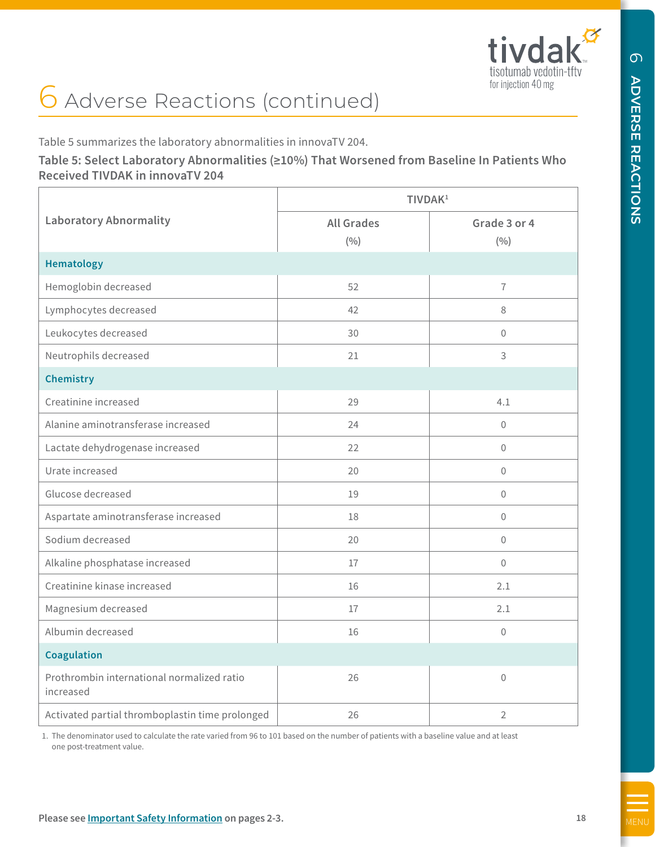**ADVERSE REACTIONS**

**ADVERSE REACTIONS** 

 $\sigma$ 

# 6 Adverse Reactions (continued)

Table 5 summarizes the laboratory abnormalities in innovaTV 204.

# **Table 5: Select Laboratory Abnormalities (≥10%) That Worsened from Baseline In Patients Who Received TIVDAK in innovaTV 204**

|                                                         | TIVDAK <sup>1</sup> |                |
|---------------------------------------------------------|---------------------|----------------|
| <b>Laboratory Abnormality</b>                           | <b>All Grades</b>   | Grade 3 or 4   |
|                                                         | (9/0)               | (%)            |
| <b>Hematology</b>                                       |                     |                |
| Hemoglobin decreased                                    | 52                  | $\overline{1}$ |
| Lymphocytes decreased                                   | 42                  | 8              |
| Leukocytes decreased                                    | 30                  | $\Omega$       |
| Neutrophils decreased                                   | 21                  | 3              |
| <b>Chemistry</b>                                        |                     |                |
| Creatinine increased                                    | 29                  | 4.1            |
| Alanine aminotransferase increased                      | 24                  | $\mathbf{0}$   |
| Lactate dehydrogenase increased                         | 22                  | $\overline{0}$ |
| Urate increased                                         | 20                  | $\mathbf 0$    |
| Glucose decreased                                       | 19                  | $\mathbf{0}$   |
| Aspartate aminotransferase increased                    | 18                  | $\mathbf 0$    |
| Sodium decreased                                        | 20                  | $\mathbf{0}$   |
| Alkaline phosphatase increased                          | 17                  | $\Omega$       |
| Creatinine kinase increased                             | 16                  | 2.1            |
| Magnesium decreased                                     | 17                  | 2.1            |
| Albumin decreased                                       | 16                  | $\mathbf{0}$   |
| Coagulation                                             |                     |                |
| Prothrombin international normalized ratio<br>increased | 26                  | $\overline{0}$ |
| Activated partial thromboplastin time prolonged         | 26                  | $\sqrt{2}$     |

 1. The denominator used to calculate the rate varied from 96 to 101 based on the number of patients with a baseline value and at least one post-treatment value.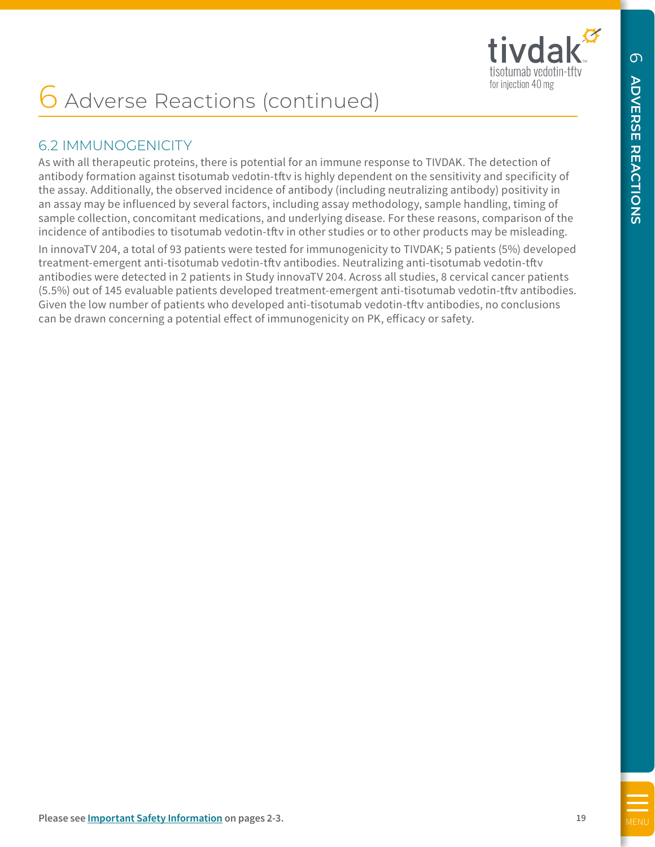

# 6.2 IMMUNOGENICITY

As with all therapeutic proteins, there is potential for an immune response to TIVDAK. The detection of antibody formation against tisotumab vedotin-tftv is highly dependent on the sensitivity and specificity of the assay. Additionally, the observed incidence of antibody (including neutralizing antibody) positivity in an assay may be influenced by several factors, including assay methodology, sample handling, timing of sample collection, concomitant medications, and underlying disease. For these reasons, comparison of the incidence of antibodies to tisotumab vedotin-tftv in other studies or to other products may be misleading.

<span id="page-18-0"></span> $\bigodot$  Adverse Reactions (continue  $\{c\}$ )<br>
Sa PMMUNCCENT (Try<br>
As a strict interval of the state is potential for an increase secessor of TVDAK. The detector of<br>
An antibapy for model a space in column to work the Highl In innovaTV 204, a total of 93 patients were tested for immunogenicity to TIVDAK; 5 patients (5%) developed treatment-emergent anti-tisotumab vedotin-tftv antibodies. Neutralizing anti-tisotumab vedotin-tftv antibodies were detected in 2 patients in Study innovaTV 204. Across all studies, 8 cervical cancer patients (5.5%) out of 145 evaluable patients developed treatment-emergent anti-tisotumab vedotin-tftv antibodies. Given the low number of patients who developed anti-tisotumab vedotin-tftv antibodies, no conclusions can be drawn concerning a potential effect of immunogenicity on PK, efficacy or safety.

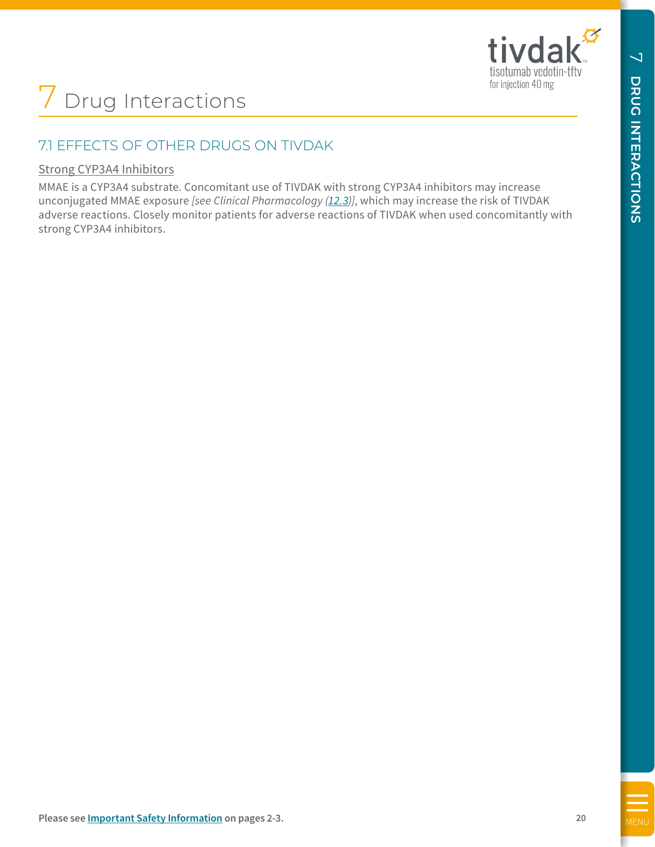$\overline{\phantom{0}}$ 

# 7.1 EFFECTS OF OTHER DRUGS ON TIVDAK

## Strong CYP3A4 Inhibitors

<span id="page-19-0"></span>MENT TO THE TRIST OF CYTILER DEVICES ON THIVE/AK<br>
Strong CYP244 Infinitions:<br>
Many information Conduct the conduct the only of the strong CYP state infinition may informate<br>
always a conduct see always and the conduct the MMAE is a CYP3A4 substrate. Concomitant use of TIVDAK with strong CYP3A4 inhibitors may increase unconjugated MMAE exposure *[see Clinical Pharmacology [\(12.3\)](#page-23-0)]*, which may increase the risk of TIVDAK adverse reactions. Closely monitor patients for adverse reactions of TIVDAK when used concomitantly with strong CYP3A4 inhibitors.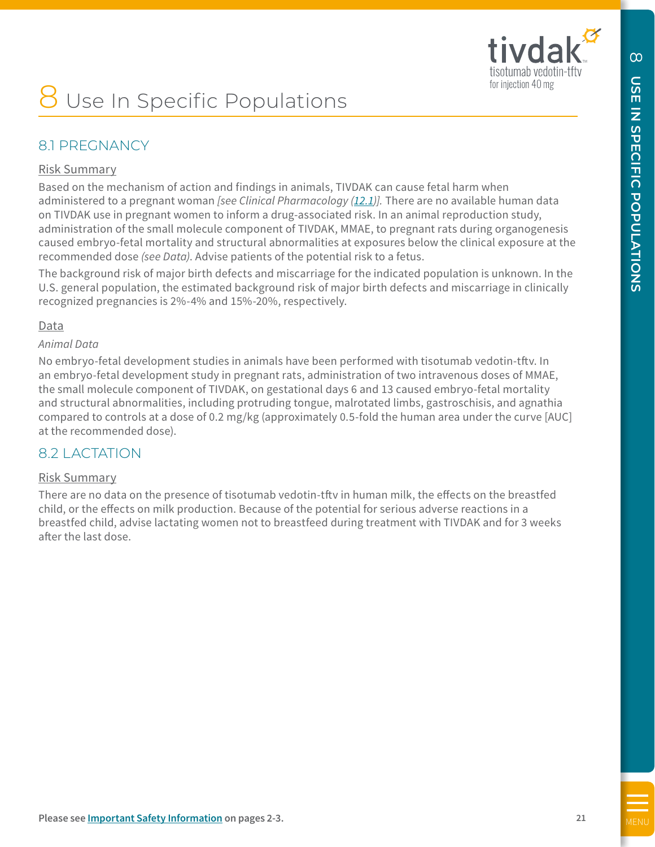

# Use In Specific Populations

# 8.1 PREGNANCY

#### Risk Summary

<span id="page-20-0"></span>**B**<br> **B**<br> **EXECUTE: POPULATIONS**<br> **EXECUTE: POPULATIONS**<br> **EXECUTE: EXECUTE: POPULATIONS**<br> **EXECUTE: EXECUTE: CONSTRANT CONSTRANT CONSTRANT CONSTRANT CONSTRANT CONSTRANT CONSTRANT CONSTRANT CONSTRANT CONSTRANT** Based on the mechanism of action and findings in animals, TIVDAK can cause fetal harm when administered to a pregnant woman *[see Clinical Pharmacology [\(12.1](#page-23-0))].* There are no available human data on TIVDAK use in pregnant women to inform a drug-associated risk. In an animal reproduction study, administration of the small molecule component of TIVDAK, MMAE, to pregnant rats during organogenesis caused embryo-fetal mortality and structural abnormalities at exposures below the clinical exposure at the recommended dose *(see Data)*. Advise patients of the potential risk to a fetus.

The background risk of major birth defects and miscarriage for the indicated population is unknown. In the U.S. general population, the estimated background risk of major birth defects and miscarriage in clinically recognized pregnancies is 2%-4% and 15%-20%, respectively.

#### Data

#### *Animal Data*

No embryo-fetal development studies in animals have been performed with tisotumab vedotin-tftv. In an embryo-fetal development study in pregnant rats, administration of two intravenous doses of MMAE, the small molecule component of TIVDAK, on gestational days 6 and 13 caused embryo-fetal mortality and structural abnormalities, including protruding tongue, malrotated limbs, gastroschisis, and agnathia compared to controls at a dose of 0.2 mg/kg (approximately 0.5-fold the human area under the curve [AUC] at the recommended dose).

# 8.2 LACTATION

#### Risk Summary

There are no data on the presence of tisotumab vedotin-tftv in human milk, the effects on the breastfed child, or the effects on milk production. Because of the potential for serious adverse reactions in a breastfed child, advise lactating women not to breastfeed during treatment with TIVDAK and for 3 weeks after the last dose.

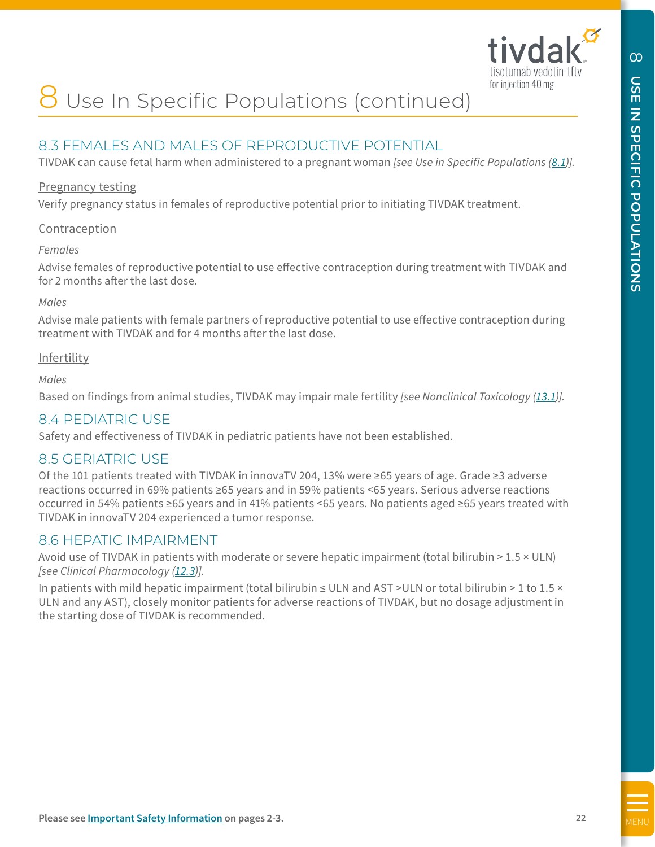

# Use In Specific Populations (continued)

# 8.3 FEMALES AND MALES OF REPRODUCTIVE POTENTIAL

TIVDAK can cause fetal harm when administered to a pregnant woman *[see Use in Specific Populations (8.1)].* 

#### Pregnancy testing

Verify pregnancy status in females of reproductive potential prior to initiating TIVDAK treatment.

#### **Contraception**

#### *Females*

Advise females of reproductive potential to use effective contraception during treatment with TIVDAK and for 2 months after the last dose.

#### *Males*

Advise male patients with female partners of reproductive potential to use effective contraception during treatment with TIVDAK and for 4 months after the last dose.

#### Infertility

*Males*

Based on findings from animal studies, TIVDAK may impair male fertility *[see Nonclinical Toxicology [\(13.1\)](#page-26-0)].*

# 8.4 PEDIATRIC USE

Safety and effectiveness of TIVDAK in pediatric patients have not been established.

# 8.5 GERIATRIC USE

<span id="page-21-0"></span>**B**<br> **B** USE In Specific Populations (continued)<br> **B**  $3$  FEMALES AND MALES OF REPRODUCTIVE POTENTIAL<br> **TROM** can case fets ham when administered to a pregnant woman fee to as Specific Populations (ELI).<br> **Prophase continu** Of the 101 patients treated with TIVDAK in innovaTV 204, 13% were ≥65 years of age. Grade ≥3 adverse reactions occurred in 69% patients ≥65 years and in 59% patients <65 years. Serious adverse reactions occurred in 54% patients ≥65 years and in 41% patients <65 years. No patients aged ≥65 years treated with TIVDAK in innovaTV 204 experienced a tumor response.

# 8.6 HEPATIC IMPAIRMENT

Avoid use of TIVDAK in patients with moderate or severe hepatic impairment (total bilirubin > 1.5 × ULN) *[see Clinical Pharmacology ([12.3](#page-23-0))].*

In patients with mild hepatic impairment (total bilirubin ≤ ULN and AST >ULN or total bilirubin > 1 to 1.5 × ULN and any AST), closely monitor patients for adverse reactions of TIVDAK, but no dosage adjustment in the starting dose of TIVDAK is recommended.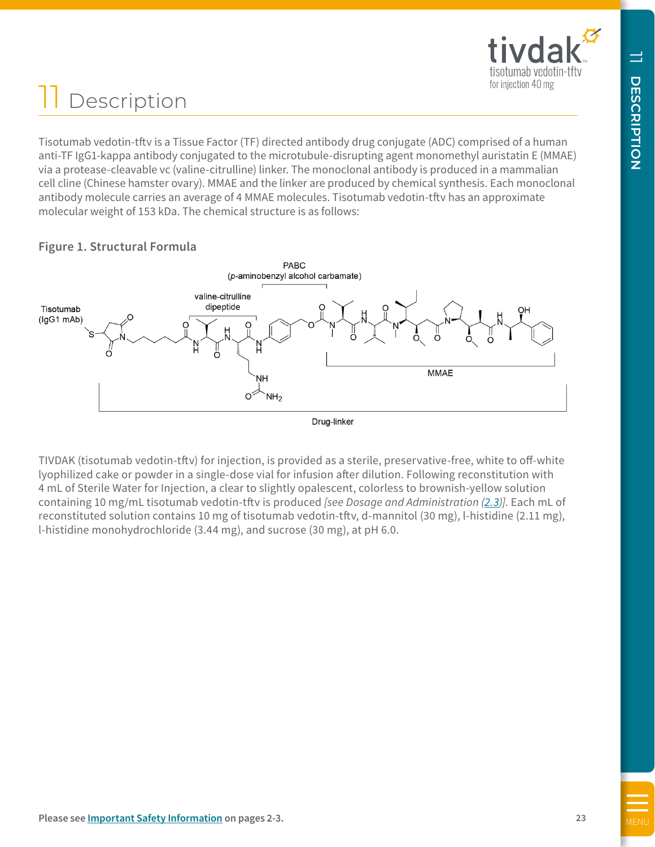# Description

Tisotumab vedotin-tftv is a Tissue Factor (TF) directed antibody drug conjugate (ADC) comprised of a human anti-TF IgG1-kappa antibody conjugated to the microtubule-disrupting agent monomethyl auristatin E (MMAE) via a protease-cleavable vc (valine-citrulline) linker. The monoclonal antibody is produced in a mammalian cell cline (Chinese hamster ovary). MMAE and the linker are produced by chemical synthesis. Each monoclonal antibody molecule carries an average of 4 MMAE molecules. Tisotumab vedotin-tftv has an approximate molecular weight of 153 kDa. The chemical structure is as follows:

# <span id="page-22-0"></span>**THE CONSTRANT CONTRANT CONTRANT CONTRANT CONTRANT CONTRANT CONTRANT CONTRANT CONTRANT CONTRANT CONTRANT CONTRANT CONTRANT CONTRANT CONTRANT CONTRANT CONTRANT CONTRANT CONTRANT CONTRANT CONTRANT CONTRANT CONTRANT CONTRANT**

# **Figure 1. Structural Formula**

TIVDAK (tisotumab vedotin-tftv) for injection, is provided as a sterile, preservative-free, white to off-white lyophilized cake or powder in a single-dose vial for infusion after dilution. Following reconstitution with 4 mL of Sterile Water for Injection, a clear to slightly opalescent, colorless to brownish-yellow solution containing 10 mg/mL tisotumab vedotin-tftv is produced *[see Dosage and Administration [\(2.3\)](#page-7-0)]*. Each mL of reconstituted solution contains 10 mg of tisotumab vedotin-tftv, d-mannitol (30 mg), l-histidine (2.11 mg), l-histidine monohydrochloride (3.44 mg), and sucrose (30 mg), at pH 6.0.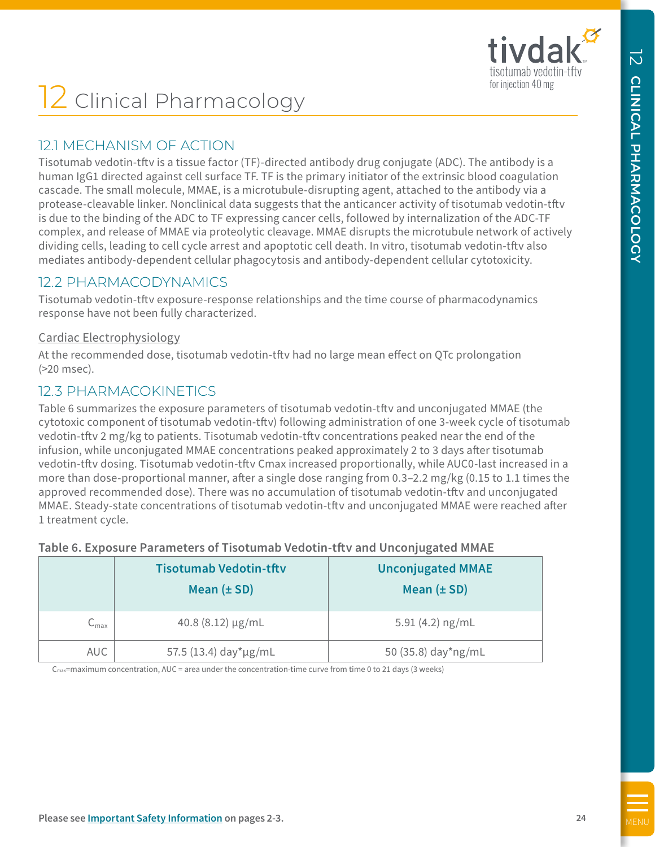# **2** Clinical Pharmacology

# 12.1 MECHANISM OF ACTION

Tisotumab vedotin-tftv is a tissue factor (TF)-directed antibody drug conjugate (ADC). The antibody is a human IgG1 directed against cell surface TF. TF is the primary initiator of the extrinsic blood coagulation cascade. The small molecule, MMAE, is a microtubule-disrupting agent, attached to the antibody via a protease-cleavable linker. Nonclinical data suggests that the anticancer activity of tisotumab vedotin-tftv is due to the binding of the ADC to TF expressing cancer cells, followed by internalization of the ADC-TF complex, and release of MMAE via proteolytic cleavage. MMAE disrupts the microtubule network of actively dividing cells, leading to cell cycle arrest and apoptotic cell death. In vitro, tisotumab vedotin-tftv also mediates antibody-dependent cellular phagocytosis and antibody-dependent cellular cytotoxicity.

# 12.2 PHARMACODYNAMICS

Tisotumab vedotin-tftv exposure-response relationships and the time course of pharmacodynamics response have not been fully characterized.

## Cardiac Electrophysiology

At the recommended dose, tisotumab vedotin-tftv had no large mean effect on QTc prolongation (>20 msec).

# 12.3 PHARMACOKINETICS

<span id="page-23-0"></span>**EXECTS** (**EXECTS Pharmacology COLOGY EXECTS**<br> **EXECTS EXECTS COLOGY COLOGY COLOGY COLOGY COLOGY COLOGY COLOGY COLOGY COLOGY COLOGY COLOGY COLOGY COLOGY COLOGY COLOGY COLOGY COLOG** Table 6 summarizes the exposure parameters of tisotumab vedotin-tftv and unconjugated MMAE (the cytotoxic component of tisotumab vedotin-tftv) following administration of one 3-week cycle of tisotumab vedotin-tftv 2 mg/kg to patients. Tisotumab vedotin-tftv concentrations peaked near the end of the infusion, while unconjugated MMAE concentrations peaked approximately 2 to 3 days after tisotumab vedotin-tftv dosing. Tisotumab vedotin-tftv Cmax increased proportionally, while AUC0-last increased in a more than dose-proportional manner, after a single dose ranging from 0.3–2.2 mg/kg (0.15 to 1.1 times the approved recommended dose). There was no accumulation of tisotumab vedotin-tftv and unconjugated MMAE. Steady-state concentrations of tisotumab vedotin-tftv and unconjugated MMAE were reached after 1 treatment cycle.

|  | Table 6. Exposure Parameters of Tisotumab Vedotin-tftv and Unconjugated MMAE |  |  |  |  |  |
|--|------------------------------------------------------------------------------|--|--|--|--|--|
|--|------------------------------------------------------------------------------|--|--|--|--|--|

|                             | <b>Tisotumab Vedotin-tftv</b><br>Mean $(\pm SD)$ | <b>Unconjugated MMAE</b><br>Mean $(\pm SD)$ |
|-----------------------------|--------------------------------------------------|---------------------------------------------|
| $\mathsf{C}_{\mathsf{max}}$ | $40.8(8.12) \mu g/mL$                            | 5.91 $(4.2)$ ng/mL                          |
| <b>AUC</b>                  | 57.5 (13.4) day*µg/mL                            | 50 (35.8) day*ng/mL                         |

 $C_{\text{max}}$ =maximum concentration, AUC = area under the concentration-time curve from time 0 to 21 days (3 weeks)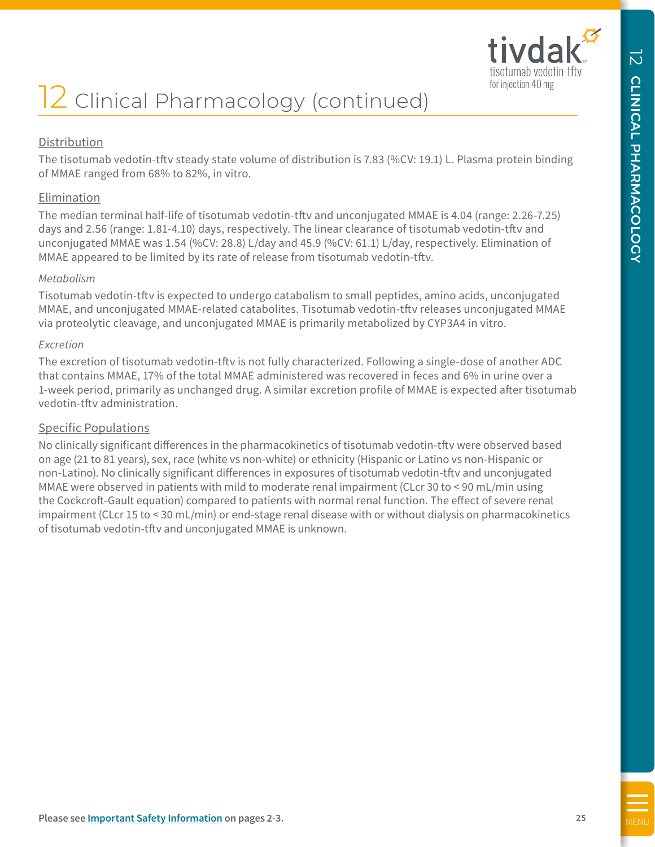

# Distribution

The tisotumab vedotin-tftv steady state volume of distribution is 7.83 (%CV: 19.1) L. Plasma protein binding of MMAE ranged from 68% to 82%, in vitro.

## Elimination

The median terminal half-life of tisotumab vedotin-tftv and unconjugated MMAE is 4.04 (range: 2.26-7.25) days and 2.56 (range: 1.81-4.10) days, respectively. The linear clearance of tisotumab vedotin-tftv and unconjugated MMAE was 1.54 (%CV: 28.8) L/day and 45.9 (%CV: 61.1) L/day, respectively. Elimination of MMAE appeared to be limited by its rate of release from tisotumab vedotin-tftv.

#### *Metabolism*

Tisotumab vedotin-tftv is expected to undergo catabolism to small peptides, amino acids, unconjugated MMAE, and unconjugated MMAE-related catabolites. Tisotumab vedotin-tftv releases unconjugated MMAE via proteolytic cleavage, and unconjugated MMAE is primarily metabolized by CYP3A4 in vitro.

#### *Excretion*

The excretion of tisotumab vedotin-tftv is not fully characterized. Following a single-dose of another ADC that contains MMAE, 17% of the total MMAE administered was recovered in feces and 6% in urine over a 1-week period, primarily as unchanged drug. A similar excretion profile of MMAE is expected after tisotumab vedotin-tftv administration.

## Specific Populations

**EXECUTE AND PERFORMACOLOGY** (CONTRINUAG)<br> **EXECUTIVE AND INTERFERENCE AND A SECURE AND INTERFERENCE INTERFERENCE INTERFERENCE IN A SECURE TO A SECURE THE SAFETY AND A SECURE TO A SECURE THE SAFETY AND A SECURE TO A SECURE** No clinically significant differences in the pharmacokinetics of tisotumab vedotin-tftv were observed based on age (21 to 81 years), sex, race (white vs non-white) or ethnicity (Hispanic or Latino vs non-Hispanic or non-Latino). No clinically significant differences in exposures of tisotumab vedotin-tftv and unconjugated MMAE were observed in patients with mild to moderate renal impairment (CLcr 30 to < 90 mL/min using the Cockcroft-Gault equation) compared to patients with normal renal function. The effect of severe renal impairment (CLcr 15 to < 30 mL/min) or end-stage renal disease with or without dialysis on pharmacokinetics of tisotumab vedotin-tftv and unconjugated MMAE is unknown.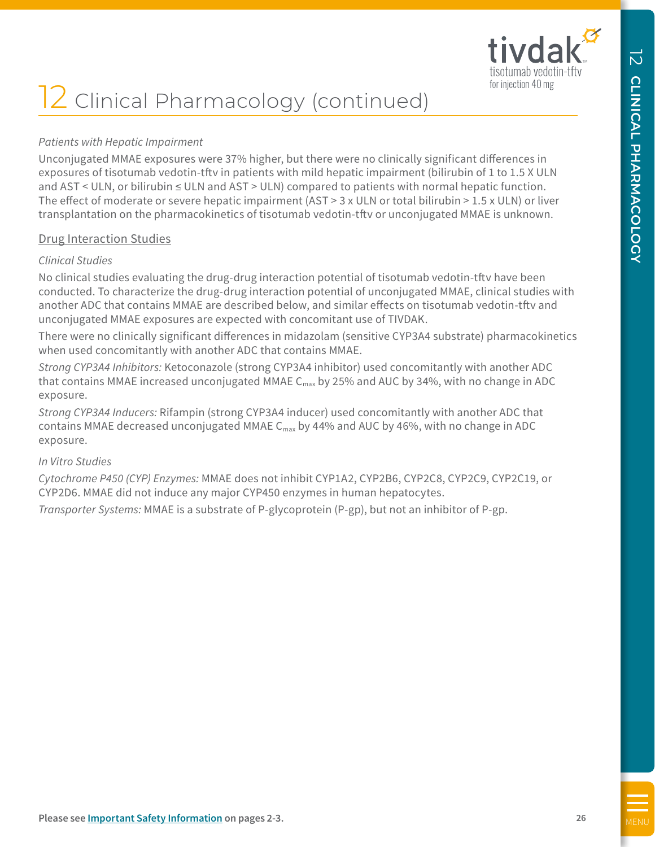

# **2** Clinical Pharmacology (continued)

## *Patients with Hepatic Impairment*

**EXECUTE THE SAFETY AND CONSULTIVE CONSULTIVE CONSULTIVE CONSULTIVE CONSULTIVE CONSULTIVE CONSULTIVE CONSULTIVE CONSULTIVE CONSULTIVE CONSULTIVE CONSULTIVE CONSULTIVE CONSULTIVE CONSULTIVE CONSULTIVE CONSULTIVE CONSULTIVE** Unconjugated MMAE exposures were 37% higher, but there were no clinically significant differences in exposures of tisotumab vedotin-tftv in patients with mild hepatic impairment (bilirubin of 1 to 1.5 X ULN and AST < ULN, or bilirubin ≤ ULN and AST > ULN) compared to patients with normal hepatic function. The effect of moderate or severe hepatic impairment (AST > 3 x ULN or total bilirubin > 1.5 x ULN) or liver transplantation on the pharmacokinetics of tisotumab vedotin-tftv or unconjugated MMAE is unknown.

#### Drug Interaction Studies

#### *Clinical Studies*

No clinical studies evaluating the drug-drug interaction potential of tisotumab vedotin-tftv have been conducted. To characterize the drug-drug interaction potential of unconjugated MMAE, clinical studies with another ADC that contains MMAE are described below, and similar effects on tisotumab vedotin-tftv and unconjugated MMAE exposures are expected with concomitant use of TIVDAK.

There were no clinically significant differences in midazolam (sensitive CYP3A4 substrate) pharmacokinetics when used concomitantly with another ADC that contains MMAE.

*Strong CYP3A4 Inhibitors:* Ketoconazole (strong CYP3A4 inhibitor) used concomitantly with another ADC that contains MMAE increased unconjugated MMAE  $C_{\text{max}}$  by 25% and AUC by 34%, with no change in ADC exposure.

*Strong CYP3A4 Inducers:* Rifampin (strong CYP3A4 inducer) used concomitantly with another ADC that contains MMAE decreased unconjugated MMAE  $C_{\text{max}}$  by 44% and AUC by 46%, with no change in ADC exposure.

## *In Vitro Studies*

*Cytochrome P450 (CYP) Enzymes:* MMAE does not inhibit CYP1A2, CYP2B6, CYP2C8, CYP2C9, CYP2C19, or CYP2D6. MMAE did not induce any major CYP450 enzymes in human hepatocytes.

*Transporter Systems:* MMAE is a substrate of P-glycoprotein (P-gp), but not an inhibitor of P-gp.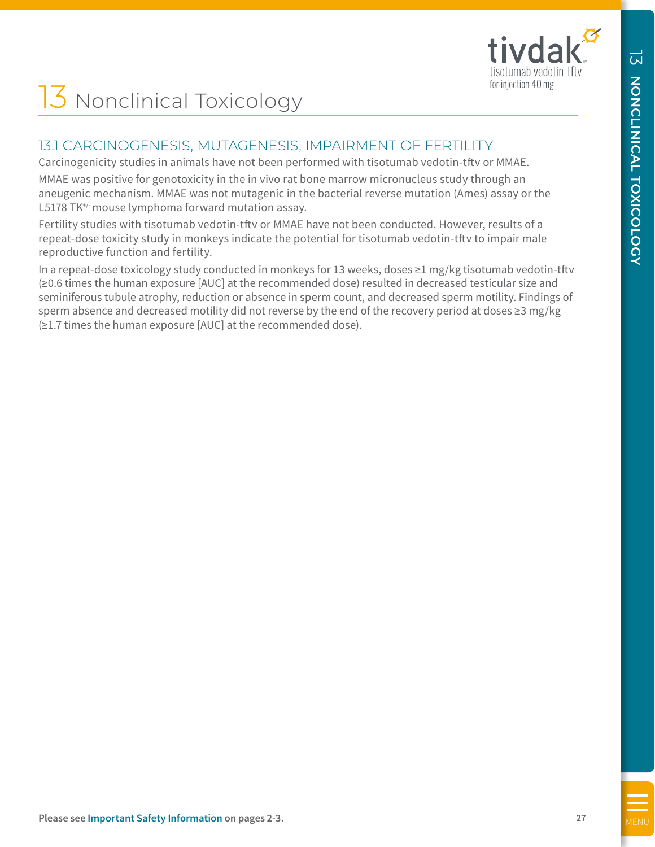

# 13 Nonclinical Toxicology

# 13.1 CARCINOGENESIS, MUTAGENESIS, IMPAIRMENT OF FERTILITY

Carcinogenicity studies in animals have not been performed with tisotumab vedotin-tftv or MMAE.

MMAE was positive for genotoxicity in the in vivo rat bone marrow micronucleus study through an aneugenic mechanism. MMAE was not mutagenic in the bacterial reverse mutation (Ames) assay or the L5178 TK<sup>+/-</sup> mouse lymphoma forward mutation assay.

Fertility studies with tisotumab vedotin-tftv or MMAE have not been conducted. However, results of a repeat-dose toxicity study in monkeys indicate the potential for tisotumab vedotin-tftv to impair male reproductive function and fertility.

<span id="page-26-0"></span>**[MENU](#page-5-0) THE CONDUCT SAFET AND CONDUCT SAFET AND CONDUCT SAFET AND CONDUCT SAFET AND CONDUCT SAFET AND CONDUCT SAFET AND CONDUCT SAFET AND CONDUCT SAFET AND CONDUCT SAFET AND CONDUCT SAFET AND CONDUCT SAFET AND CONDUCT SAFET** In a repeat-dose toxicology study conducted in monkeys for 13 weeks, doses ≥1 mg/kg tisotumab vedotin-tftv (≥0.6 times the human exposure [AUC] at the recommended dose) resulted in decreased testicular size and seminiferous tubule atrophy, reduction or absence in sperm count, and decreased sperm motility. Findings of sperm absence and decreased motility did not reverse by the end of the recovery period at doses ≥3 mg/kg (≥1.7 times the human exposure [AUC] at the recommended dose).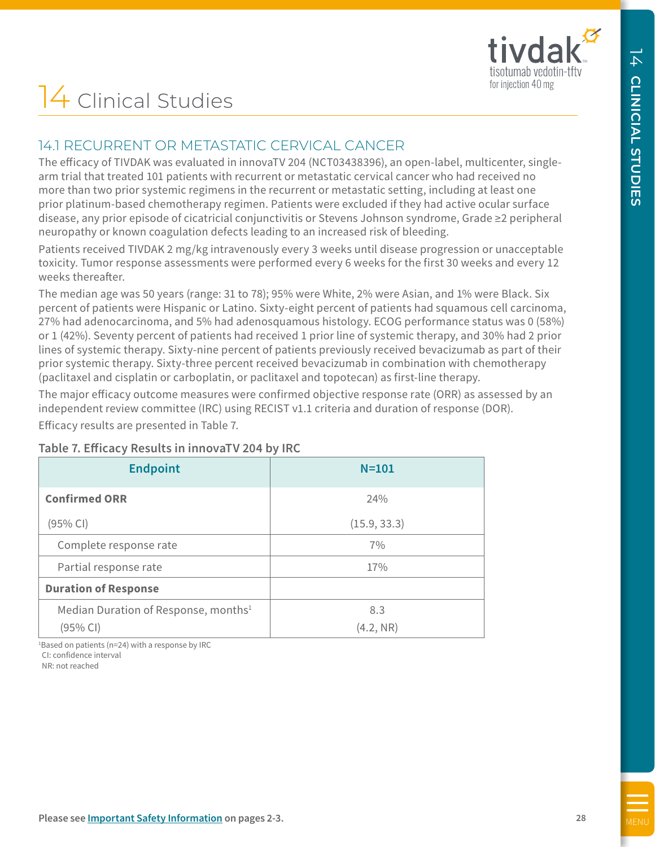# 14 Clinical Studies

# 14.1 RECURRENT OR METASTATIC CERVICAL CANCER

#### **Table 7. Efficacy Results in innovaTV 204 by IRC**

<span id="page-27-0"></span>

| 14 Clinical Studies                                                                                                                                                                                                                                                                                                                                                                                                                                                                                                                                                                                                                                                                                                                                    |                  |  |
|--------------------------------------------------------------------------------------------------------------------------------------------------------------------------------------------------------------------------------------------------------------------------------------------------------------------------------------------------------------------------------------------------------------------------------------------------------------------------------------------------------------------------------------------------------------------------------------------------------------------------------------------------------------------------------------------------------------------------------------------------------|------------------|--|
| 14.1 RECURRENT OR METASTATIC CERVICAL CANCER                                                                                                                                                                                                                                                                                                                                                                                                                                                                                                                                                                                                                                                                                                           |                  |  |
| The efficacy of TIVDAK was evaluated in innovaTV 204 (NCT03438396), an open-label, multicenter, single-<br>arm trial that treated 101 patients with recurrent or metastatic cervical cancer who had received no<br>more than two prior systemic regimens in the recurrent or metastatic setting, including at least one<br>prior platinum-based chemotherapy regimen. Patients were excluded if they had active ocular surface<br>disease, any prior episode of cicatricial conjunctivitis or Stevens Johnson syndrome, Grade ≥2 peripheral<br>neuropathy or known coagulation defects leading to an increased risk of bleeding.                                                                                                                       |                  |  |
| Patients received TIVDAK 2 mg/kg intravenously every 3 weeks until disease progression or unacceptable<br>toxicity. Tumor response assessments were performed every 6 weeks for the first 30 weeks and every 12<br>weeks thereafter.                                                                                                                                                                                                                                                                                                                                                                                                                                                                                                                   |                  |  |
| The median age was 50 years (range: 31 to 78); 95% were White, 2% were Asian, and 1% were Black. Six<br>percent of patients were Hispanic or Latino. Sixty-eight percent of patients had squamous cell carcinoma,<br>27% had adenocarcinoma, and 5% had adenosquamous histology. ECOG performance status was 0 (58%)<br>or 1 (42%). Seventy percent of patients had received 1 prior line of systemic therapy, and 30% had 2 prior<br>lines of systemic therapy. Sixty-nine percent of patients previously received bevacizumab as part of their<br>prior systemic therapy. Sixty-three percent received bevacizumab in combination with chemotherapy<br>(paclitaxel and cisplatin or carboplatin, or paclitaxel and topotecan) as first-line therapy. |                  |  |
| The major efficacy outcome measures were confirmed objective response rate (ORR) as assessed by an<br>independent review committee (IRC) using RECIST v1.1 criteria and duration of response (DOR).                                                                                                                                                                                                                                                                                                                                                                                                                                                                                                                                                    |                  |  |
| Efficacy results are presented in Table 7.                                                                                                                                                                                                                                                                                                                                                                                                                                                                                                                                                                                                                                                                                                             |                  |  |
| Table 7. Efficacy Results in innovaTV 204 by IRC                                                                                                                                                                                                                                                                                                                                                                                                                                                                                                                                                                                                                                                                                                       |                  |  |
| <b>Endpoint</b>                                                                                                                                                                                                                                                                                                                                                                                                                                                                                                                                                                                                                                                                                                                                        | $N = 101$        |  |
| <b>Confirmed ORR</b>                                                                                                                                                                                                                                                                                                                                                                                                                                                                                                                                                                                                                                                                                                                                   | 24%              |  |
| (95% CI)                                                                                                                                                                                                                                                                                                                                                                                                                                                                                                                                                                                                                                                                                                                                               | (15.9, 33.3)     |  |
| Complete response rate                                                                                                                                                                                                                                                                                                                                                                                                                                                                                                                                                                                                                                                                                                                                 | 7%               |  |
| Partial response rate                                                                                                                                                                                                                                                                                                                                                                                                                                                                                                                                                                                                                                                                                                                                  | 17%              |  |
| <b>Duration of Response</b>                                                                                                                                                                                                                                                                                                                                                                                                                                                                                                                                                                                                                                                                                                                            |                  |  |
| Median Duration of Response, months <sup>1</sup><br>(95% CI)                                                                                                                                                                                                                                                                                                                                                                                                                                                                                                                                                                                                                                                                                           | 8.3<br>(4.2, NR) |  |
| <sup>1</sup> Based on patients (n=24) with a response by IRC                                                                                                                                                                                                                                                                                                                                                                                                                                                                                                                                                                                                                                                                                           |                  |  |
| CI: confidence interval<br>NR: not reached                                                                                                                                                                                                                                                                                                                                                                                                                                                                                                                                                                                                                                                                                                             |                  |  |
|                                                                                                                                                                                                                                                                                                                                                                                                                                                                                                                                                                                                                                                                                                                                                        |                  |  |
|                                                                                                                                                                                                                                                                                                                                                                                                                                                                                                                                                                                                                                                                                                                                                        |                  |  |
|                                                                                                                                                                                                                                                                                                                                                                                                                                                                                                                                                                                                                                                                                                                                                        |                  |  |
|                                                                                                                                                                                                                                                                                                                                                                                                                                                                                                                                                                                                                                                                                                                                                        |                  |  |
|                                                                                                                                                                                                                                                                                                                                                                                                                                                                                                                                                                                                                                                                                                                                                        |                  |  |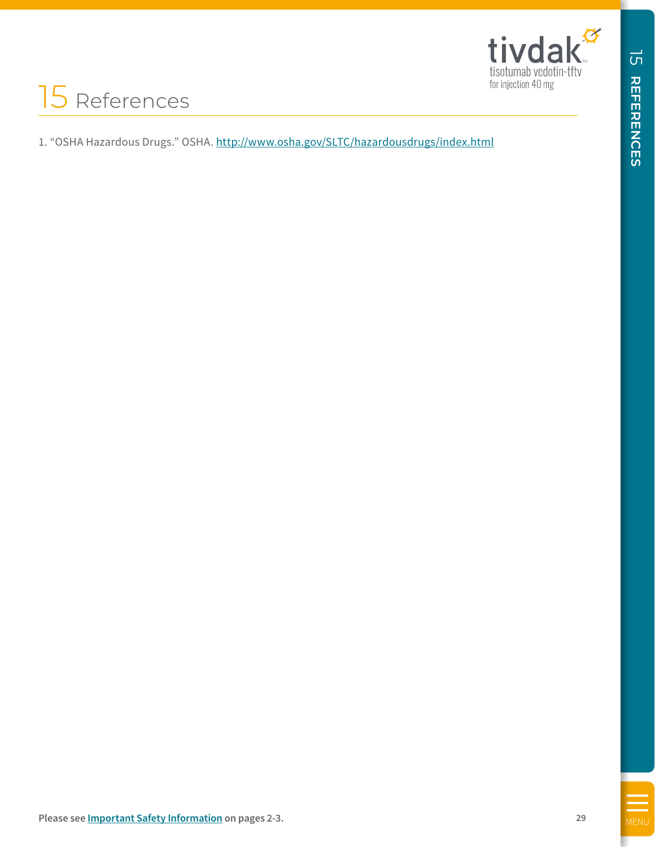

# 15 References

<span id="page-28-0"></span>UNIVERSITY CONDUCTIVE SEE A PLAN INTERFERENCES<br>
INFORMATION CONTINUES INTERFERENCES<br> **29 REFERENCES**<br>
29 **REFERENCES** 15:05 IN A INTERFERENCE AREA SERVED FOR A PLAN INTERFERENCE AREA CONTINUES.<br>
29 **REFERENCES**<br>
Planes a 1. "OSHA Hazardous Drugs." OSHA.<http://www.osha.gov/SLTC/hazardousdrugs/index.html>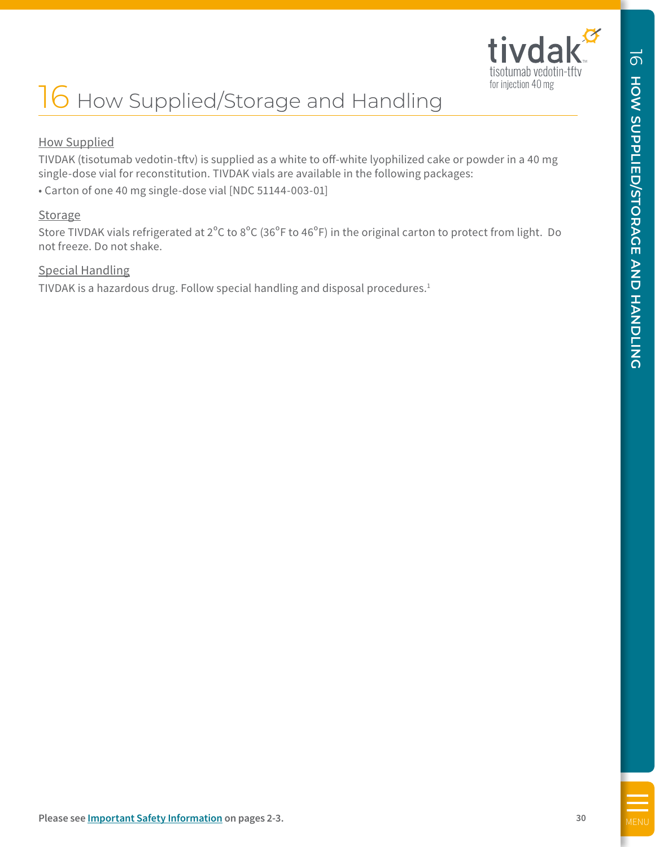

# 16 How Supplied/Storage and Handling

## How Supplied

TIVDAK (tisotumab vedotin-tftv) is supplied as a white to off-white lyophilized cake or powder in a 40 mg single-dose vial for reconstitution. TIVDAK vials are available in the following packages:

• Carton of one 40 mg single-dose vial [NDC 51144-003-01]

#### **Storage**

<span id="page-29-0"></span>**ICOLUTIONS**<br> **[MENU](#page-5-0) AND INSURAL SUPPLIED (STORAGE AS A share to online in the properties (see** *I***M Three Single Conservation <b>on the system of the second from the system of the second state of the page 3-4 30 C**<br> **Enco** Store TIVDAK vials refrigerated at 2ºC to 8ºC (36ºF to 46ºF) in the original carton to protect from light. Do not freeze. Do not shake.

#### Special Handling

TIVDAK is a hazardous drug. Follow special handling and disposal procedures.1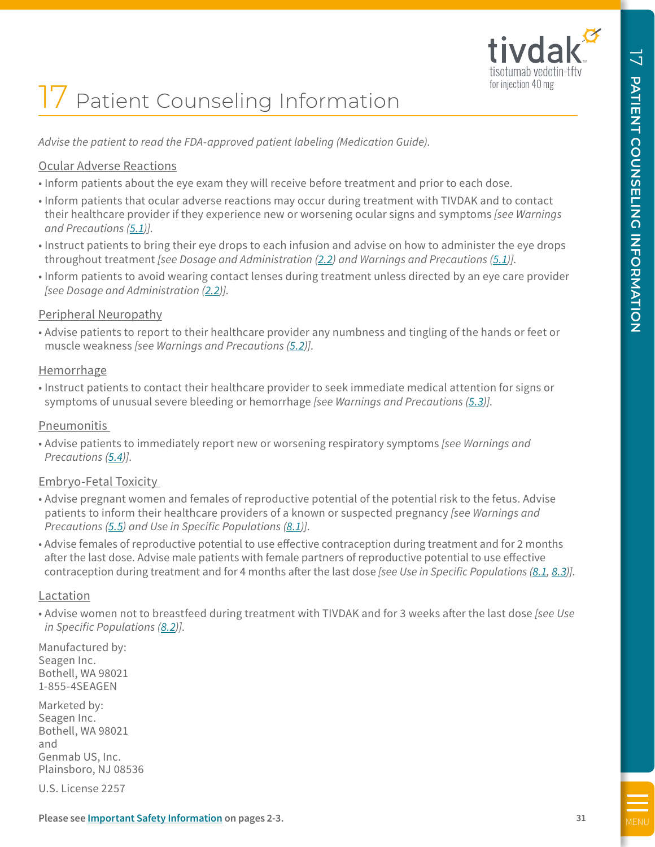

# 17 Patient Counseling Information

*Advise the patient to read the FDA-approved patient labeling (Medication Guide)*.

## Ocular Adverse Reactions

- Inform patients about the eye exam they will receive before treatment and prior to each dose.
- Inform patients that ocular adverse reactions may occur during treatment with TIVDAK and to contact their healthcare provider if they experience new or worsening ocular signs and symptoms *[see Warnings and Precautions [\(5.1](#page-12-0))]*.
- Instruct patients to bring their eye drops to each infusion and advise on how to administer the eye drops throughout treatment *[see Dosage and Administration [\(2.2\)](#page-7-0) and Warnings and Precautions [\(5.1](#page-12-0))]*.
- Inform patients to avoid wearing contact lenses during treatment unless directed by an eye care provider *[see Dosage and Administration ([2.2](#page-7-0))]*.

## Peripheral Neuropathy

• Advise patients to report to their healthcare provider any numbness and tingling of the hands or feet or muscle weakness *[see Warnings and Precautions [\(5.2](#page-12-0))]*.

## **Hemorrhage**

• Instruct patients to contact their healthcare provider to seek immediate medical attention for signs or symptoms of unusual severe bleeding or hemorrhage *[see Warnings and Precautions [\(5.3\)](#page-13-0)]*.

## Pneumonitis

• Advise patients to immediately report new or worsening respiratory symptoms *[see Warnings and Precautions [\(5.4\)](#page-13-0)]*.

# Embryo-Fetal Toxicity

- Advise pregnant women and females of reproductive potential of the potential risk to the fetus. Advise patients to inform their healthcare providers of a known or suspected pregnancy *[see Warnings and Precautions [\(5.5\)](#page-13-0) and Use in Specific Populations [\(8.1](#page-20-0))]*.
- <span id="page-30-0"></span>**PP**  $\overline{X}$  **P**  $\overline{X}$  **P**  $\overline{X}$  **P**  $\overline{X}$  **P**  $\overline{X}$  **P**  $\overline{X}$  **P**  $\overline{X}$  **C**  $\overline{X}$  **C P**  $\overline{X}$  **C P**  $\overline{X}$  **C P**  $\overline{X}$  **C P**  $\overline{X}$  **C P**  $\overline{X}$  **C P**  $\overline{X}$  **C C C C** • Advise females of reproductive potential to use effective contraception during treatment and for 2 months after the last dose. Advise male patients with female partners of reproductive potential to use effective contraception during treatment and for 4 months after the last dose *[see Use in Specific Populations [\(8.1](#page-20-0), [8.3](#page-21-0))]*.

## Lactation

• Advise women not to breastfeed during treatment with TIVDAK and for 3 weeks after the last dose *[see Use in Specific Populations [\(8.2](#page-20-0))]*.

Manufactured by: Seagen Inc. Bothell, WA 98021 1-855-4SEAGEN

Marketed by: Seagen Inc. Bothell, WA 98021 and Genmab US, Inc. Plainsboro, NJ 08536

U.S. License 2257